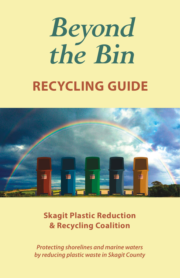# *Beyond the Bin* **RECYCLING GUIDE**



**Skagit Plastic Reduction & Recycling Coalition**

*Protecting shorelines and marine waters by reducing plastic waste in Skagit County*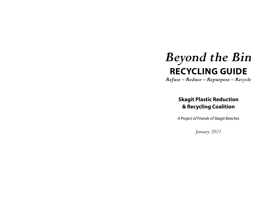## *Beyond the Bin* **RECYCLING GUIDE**

*Refuse – Reduce – Repurpose – Recycle*

**Skagit Plastic Reduction & Recycling Coalition**

*A Project of Friends of Skagit Beaches*

*January 2021*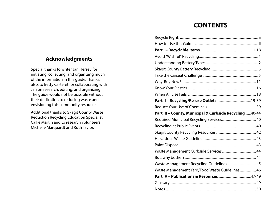### **CONTENTS**

| Part III - County, Municipal & Curbside Recycling  40-44 |  |
|----------------------------------------------------------|--|
|                                                          |  |
|                                                          |  |
|                                                          |  |
|                                                          |  |
|                                                          |  |
|                                                          |  |
|                                                          |  |
|                                                          |  |
| Waste Management Recycling Guidelines 45                 |  |
| Waste Management Yard/Food Waste Guidelines  46          |  |
|                                                          |  |
|                                                          |  |

### **Acknowledgments**

Special thanks to writer Jan Hersey for initiating, collecting, and organizing much of the information in this guide. Thanks, also, to Betty Carteret for collaborating with Jan on research, editing, and organizing. The guide would not be possible without their dedication to reducing waste and envisioning this community resource.

Additional thanks to Skagit County Waste Reduction Recycling Education Specialist Callie Martin and to research volunteers Michelle Marquardt and Ruth Taylor.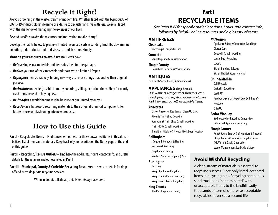### **Recycle It Right!**

Are you drowning in the waste stream of modern life? Whether faced with the byproducts of COVID-19-induced closet cleaning or a desire to declutter and live with less, we're all faced with the challenge of managing the excesses of our lives.

*Beyond the Bin provides* the resources and motivation to take charge!

Develop the habits below to preserve limited resources, curb expanding landfills, slow marine pollution, reduce clutter-induced stress . . . and live more simply.

#### **Manage your resources to avoid waste.** Here's how:

- *• Refuse* single-use materials and items destined for the garbage.
- *• Reduce* your use of toxic materials and those with a limited lifespan.
- *• Repurpose* items creatively, finding new ways to re-use things that outlive their original purpose.
- *• Recirculate* unneeded, usable items by donating, selling, or gifting them. Shop for gently used items instead of buying new.
- *• Re-imagine* a world that makes the best use of our limited resources.
- *• Recycle*–as a last resort, returning materials to their original chemical components for future re-use or refashioning into new products.

### **How to Use this Guide**

- **Part I Recyclable Items** Find convenient outlets for those unwanted items in this alphabetized list of items and materials. Keep track of your favorites on the Notes page at the end of this guide.
- **Part II Recycling/Re-use Outlets**  Find here the addresses, hours, contact info, and useful details for the retailers and outlets listed in Part I.
- **Part III Municipal, County & Curbside Recycling Resources Here are details for drop**off and curbside pickup recycling services.

When in doubt, call ahead, details *can change over time.*

### **Part I RECYCLABLE ITEMS**

*See Parts II-IV for specific outlet locations, hours, and contact info, followed by helpful online resources and a glossary of terms.*

#### **ANTIFREEZE**

**Clear Lake** Recycling & Compactor Site

**Concrete** Sauk Recycling & Transfer Station

**Skagit County** Household Hazardous Waste Facility

**ANTIQUES** (*See* Thrift/Secondhand/Antique Shops)

**APPLIANCES** (large & small) *Dishwashers, refrigerators, furnaces, etc.; hairdryers, toasters, stick vacuums, etc. See*  Part II *for each outlet's acceptable items.*

#### **Anacortes**

City of Anacortes Residential Clean Up Days Kiwanis Thrift Shop (working) Soroptimist Thrift Shop (small, working)

Thrifty Kitty (small, working) Transition Fidalgo & Friends Fix-It Days (repairs)

#### **Bellingham**

JDog Junk Removal & Hauling

Northwest Recycling

Puget Sound Energy

Sanitary Service Company (SSC)

#### **Burlington**

Best Buy Skagit Appliance Recycling Skagit Habitat Store (working) Skagit River Steel & Recycling

#### **King County**

The Recology Store (small)

#### **Mt Vernon**

Appliance & More Connection (working) Clutter Cops Goodwill (small, working) Lautenbach Recycling Lowe's Skagit Building Salvage Skagit Habitat Store (working)

#### **Online/Mail-In**

Call2Recycle Craigslist (working) Earth911 Facebook (search "Skagit Buy, Sell, Trade") Nextdoor OfferUp

#### **Sedro-Woolley**

Sedro-Woolley Recycling Center (fee) Rita Street Appliance Recycling

#### **Skagit County**

Puget Sound Energy (refrigerators & freezers) Skagit County & municipal recycling sites (Mt Vernon, Sauk, Clear Lake) Waste Management (curbside pickup)

### **Avoid Wishful Recycling**

A clean stream of materials is essential to recycling success. Place only listed, accepted items in recycling bins. Recycling companies send truckloads "contaminated" with unacceptable items to the landfill–sadly, thousands of tons of otherwise acceptable recyclables never see a second life.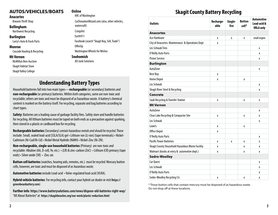### **AUTOS/VEHICLES/BOATS**

**Anacortes** 

#### Kiwanis Thrift Shop

**Bellingham**

Northwest Recycling

#### **Burlington**

Larry's Auto & Truck Parts

#### **Monroe**

Cascade Hauling & Recycling

#### **Mt Vernon**

McMillan Bros Auction Skagit Habitat Store

Skagit Valley College

ARC of Washington CarDonationWizard.com (also, other vehicles, watercraft) **Craigslist** Earth911 Facebook (search "Skagit Buy, Sell, Trade") OfferUp Washington Wheels for Wishes **Snohomish**

AD Junk Solutions

### **Understanding Battery Types**

**Online**

Household batteries fall into two main types—**rechargeable** (or secondary) batteries and **non-rechargeable** (or primary) batteries. Within *both* categories, some are non-toxic and recyclable; others are toxic and must be disposed of as hazardous waste. A battery's chemical content is marked on the battery itself. For recycling, separate and bag batteries according to chart types.

**Safety**: Batteries are a leading cause of garbage facility fires. Safely store and handle batteries for recycling. All lithium batteries must be taped on both ends as a precaution against sparking, then stored in a plastic or cardboard box for recycling.

**Rechargeable batteries** (Secondary) *contain hazardous metals and should be recycled.* These include: Small, sealed lead-acid (SSLA/SLA) gel • Lithium-ion (Li-ion) (tape terminals) • Nickel-Cadmium (Ni-Cad/Ni-Cd) • Nickel Metal Hydride (NiMH) • Nickel-Zinc (Ni-ZN).

**Non-rechargeable, single-use household batteries** (Primary) are non-toxic and recyclable: Alkaline (AA, D-cell, 9v, etc.) • (LR) & zinc-carbon (ZnC) • Lithium (CR) primary (tape ends) • Silver oxide (SR) • Zinc-air.

**Button cell batteries** (watches, hearing aids, remotes, etc.) *must be recycled.* Mercury button cells, however, are toxic and must be disposed of *as hazardous waste.*

**Automotive batteries** include Lead-acid • Valve-regulated lead-acid (VLRA).

**Hybrid vehicle batteries**: For recycling info, contact your hybrid car dealer or visit **https:// greenbeanbattery.com**)

**Further info**: **https://www.batterysolutions.com/news/dispose-old-batteries-right-way/** "All About Batteries" at **https://skagitbeaches.org/our-work/plastic-reduction.html**

### **Skagit County Battery Recycling**

| <b>Outlets</b>                                   | Recharge-<br>able | Single-<br><b>Use</b> | <b>Button</b><br>cell* | <b>Automotive</b><br>Lead-acid &<br><b>VRLA only</b> |
|--------------------------------------------------|-------------------|-----------------------|------------------------|------------------------------------------------------|
| <b>Anacortes</b>                                 |                   |                       |                        |                                                      |
| Ace Hardware                                     | X                 | X                     | X                      | small engine                                         |
| City of Anacortes: Maintenance & Operations Dept | X                 |                       |                        |                                                      |
| Les Schwab Tires                                 |                   |                       |                        | X                                                    |
| O'Reilly Auto Parts                              |                   |                       |                        | X                                                    |
| <b>Piston Service</b>                            |                   |                       |                        | X                                                    |
| <b>Burlington</b>                                |                   |                       |                        |                                                      |
| AutoZone                                         |                   |                       |                        | X                                                    |
| <b>Best Buy</b>                                  | X                 |                       |                        |                                                      |
| <b>Home Depot</b>                                | X                 |                       | X                      |                                                      |
| Les Schwab                                       |                   |                       |                        | X                                                    |
| Skagit River Steel & Recycling                   |                   |                       |                        | x                                                    |
| <b>Concrete</b>                                  |                   |                       |                        |                                                      |
| Sauk Recycling & Transfer Station                | X                 |                       | Χ                      | X                                                    |
| <b>Mt Vernon</b>                                 |                   |                       |                        |                                                      |
| AutoZone                                         |                   |                       |                        | X                                                    |
| Clear Lake Recycling & Compactor Site            | X                 |                       | X                      | X                                                    |
| Les Schwab                                       |                   |                       |                        | X                                                    |
| Lowe's                                           | X                 |                       | Χ                      |                                                      |
| <b>Office Depot</b>                              | X                 |                       |                        |                                                      |
| O'Reilly Auto Parts                              |                   |                       |                        | X                                                    |
| <b>Pacific Power Batteries</b>                   | X                 | X                     | X                      | X                                                    |
| Skagit County Household Hazardous Waste Facility | X                 |                       | X                      | X                                                    |
| Walmart (kiosks at entry & automotive dept.)     | X                 |                       | X                      | X                                                    |
| <b>Sedro-Woolley</b>                             |                   |                       |                        |                                                      |
| Car Quest                                        |                   |                       |                        | X                                                    |
| Les Schwab                                       |                   |                       |                        | X                                                    |
| O'Reilly Auto Parts                              |                   |                       |                        | X                                                    |
| Sedro-Woolley Recycling Ctr                      | x                 |                       | X                      | X                                                    |

\* Those button cells that contain mercury must be disposed of as hazardous waste. Do not drop off at these locations.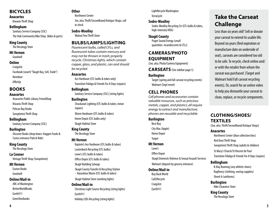#### **BICYCLES**

#### **Anacortes**

Kiwanis Thrift Shop

#### **Bellingham**

Sanitary Service Company (SSC) The Hub Community Bike Shop (bikes & parts)

#### **King County**

The Recology Store

#### **Mt Vernon**

Goodwill

#### **Online**

Craigslist Facebook (search "Skagit Buy, Sell, Trade")

Nextdoor

OfferUp

#### **BOOKS**

#### **Anacortes**

Anacortes Public Library FriendShop

Kiwanis Thrift Shop

Pelican Bay Books

Soroptimist Thrift Shop

#### **Bellingham**

Sanitary Service Company (SSC)

#### **Burlington**

Discover Books (drop boxes: Haggen Foods & Costco entrance Park & Ride)

#### **King County**

The Recology Store

#### **La Conner**

Vintage Thrift Shop (Soroptimist)

#### **Mt Vernon**

Easton Books Goodwill

#### **Online/Mail-in**

ARC of Washington **BetterWorldBooks** Earth911 GreenTextbooks

#### **Other**

Northwest Center *See, also,* Thrift/Secondhand/Antique Shops; *call to check.*

#### **Sedro-Woolley**

Walnut Tree Thrift Store

#### **BULBS/LAMPS/LIGHTING**

*Fluorescent bulbs, called CFLs, and fluorescent tubes contain mercury and may not be thrown in trash; properly recycle. Christmas lights, which contain copper, glass, and plastic, can and should be recycled.*

#### **Anacortes**

Ace Hardware (CFL bulbs & tubes only) Transition Fidalgo & Friends Fix-It Days (repairs)

#### **Bellingham**

Sanitary Service Company (SSC) (string lights)

#### **Burlington**

Chuckanut Lighting (CFL bulbs & tubes; minor repairs)

Ekrem Hardware (CFL bulbs & tubes) Home Depot (CFL bulbs only) Skagit Habitat Store

#### **King County**

The Recology Store

#### **Mt Vernon**

Kaptein's Ace Hardware (CFL bulbs & tubes) Lautenbach Recycling (CFL bulbs) Lowe's (CFL bulbs & tubes) Office Depot (CFL bulbs & tubes) Skagit Building Salvage Skagit County Transfer & Recycling Station - Hazardous Waste (CFL bulbs & tubes)

Skagit Habitat Store (working lights)

#### **Online/Mail-in**

Christmas Light Source Recycling (string lights) Earth911 Holiday LEDs Recycling (string lights)

LightRecycle Washington TerraCycle

#### **Sedro-Woolley**

Sedro-Woolley Recycling Ctr (CFL bulbs & tubes, high-intensity HIDs)

#### **Skagit County**

Puget Sound Energy (small quantities incandescents & CFLs)

#### **CAMERAS/PHOTO EQUIPMENT** (*See, also,* Photo/Camera Equipment)

**CARSEATS** (See sidebar page 5)

#### **Burlington**

Target (spring and fall carseat recycling events) Walmart (Sept event)

### **CELL PHONES**

*Cell phones and accessories contain valuable resources, such as precious metals, copper, and plastics; all require energy to extract and manufacture; phones are reusable and recyclable.*

#### **Burlington**

Best Buy City Mac (Apple) Home Depot **Target** 

#### **Mt Vernon** Lowe's

Office Depot

Skagit Domestic Violence & Sexual Assault Services

#### Walmart (deposit by grocery entrance)

#### **Online/Mail-in**

Buy Back World Call2Recycle Craigslist Earth911

### **Take the Carseat Challenge**

Less than six years old? Sell or donate your carseat to extend its usable life. Beyond six years (find expiration or manufacture date on underside of seat), carseats are considered too old to be safe. To recycle, check online and/ or with the retailer from whom the carseat was purchased (Target and Walmart hold Fall carseat recycling events). Or, search for an online video to help you dismantle your carseat to clean, replace, or recycle components.

### **CLOTHING/SHOES/ TEXTILES**

(*See, also*, Thrift/Secondhand/Antique Shops)

#### **Anacortes**

Northwest Center (blue collection bins) Red Door Thrift Shop Soroptimist Thrift Shop (adults & children) St Mary's Church/St Vincent de Paul Transition Fidalgo & Friends Fix-It Days (repairs)

#### **Bellingham**

B-Bay Running (any athletic shoes) Ragfinery (clothing, sewing supplies) Shred-It (uniforms)

**Burlington** Nike Clearance Store

**King County** The Recology Store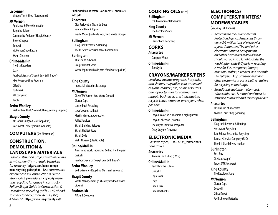#### **La Conner**

Vintage Thrift Shop (Soroptimist)

#### **Mt Vernon**

Appliance & More Connection

- Bargains Galore
- Community Action of Skagit County
- Encore Shoppe
- Goodwill
- Mt Vernon Shoe Repair

#### Skagit Gleaners

- **Online/Mail-in**
	- The Bra Recyclers Ebay Facebook (search "Skagit Buy, Sell, Trade") Nike Reuse-A-Shoe Program OfferUp
- Poshmark
- REI.com/used
- Yerdle

#### **Sedro-Woolley**

Walnut Tree Thrift Store (clothing, sewing supplies)

#### **Skagit County**

ARC of Washington (call for pickup) Northwest Center (pickup available)

#### **COMPUTERS** (*See* Electronics)

### **CONSTRUCTION, DEMOLITION & LANDSCAPE MATERIALS**

*Plan construction projects with recycling in mind: Identify materials & markets for recovery* (**calgary.com/home-component-recycling-guide.php**)*. • Use contractors experienced in Construction & Demolition (C&D) procedures. • Specify reuse and recycling language in contract. • Follow Skagit Guide to Construction & Demolition Recycling (pdf). • Call ahead to check for acceptable items: (360) 424-7817.* **https://www.skagitcounty.net/**

**PublicWorksSolidWaste/Documents/CandD%20 info.pdf** 

#### **Anacortes**

City Residential Clean Up Days Sunland Bark & Topsoil Waste Mgmt (curbside food/yard waste pickup)

#### **Bellingham**

JDog Junk Removal & Hauling The RE Store for Sustainable Communities

#### **Burlington**

Miles Sand & Gravel Skagit Habitat Store Waste Mgmt (curbside yard /food waste pickup)

#### **King County**

Industrial Materials Exchange

#### **Mt Vernon**

City of Mt Vernon Yard Waste Dropoff Clutter Cops Lautenbach Recycling Lowe's (wood pallets) Martin Marietta Aggregates Pallet Services Skagit Building Salvage Skagit Habitat Store Skagit Soils Wells Nursery (plastic pots)

#### **Online/Mail-in**

Armstrong World Industries Ceiling Tile Program **Craigslist** 

Facebook (search "Skagit Buy, Sell, Trade")

#### **Sedro-Woolley**

Sedro-Woolley Recycling Ctr (small amounts)

#### **Skagit County**

Waste Management (curbside yard/food waste pickup)

#### **Snohomish**

AD Junk Solutions

#### **COOKING OILS** (used) **Bellingham**

PSC Environmental Services

#### **King County**

The Recology Store

#### **Mt Vernon** Lautenbach Recycling

**CORKS**

#### **Anacortes**

Compass Wines

#### **Online/Mail-in** TerraCycle

#### **CRAYONS/MARKERS/PENS**

*Local low-income programs, hospitals, and shelters may utilize your unneeded crayons, markers, etc.; online resources offer opportunities for communities, schools, businesses, and individuals to recycle. Leave wrappers on crayons when possible.*

#### **Online/Mail-in**

Crayola ColorCycle (markers & highlighters) Crayon Collection (crayons) The Crayon Initiative (crayons) Crazy Crayons (crayons)

#### **ELECTRONIC MEDIA**

*Cassette tapes, CDs, DVDS, jewel cases, hard drives*

#### **Anacortes**

Kiwanis Thrift Shop (DVDs)

#### **Online/Mail-in**

Back Thru the Future Craigslist Eaglesaver Ebay Green Disk GreenTextbooks

### **ELECTRONICS/ COMPUTERS/PRINTERS/ MODEMS/CABLES**

(*See, also,* Cell Phones)

- *• According to the Environmental Protection Agency, Americans throw away 2-3 million tons of electronics a year! Computers, TVs, and other electronics contain heavy metals and other hazardous materials that should not go into a landfill. Under the Washington state E-Cycle law, recycling is free for TVs, computers, laptops, monitors, tablets, e-readers, and portable DVD players. Drop off peripherals and other electronics at participating retailers for recycling at no charge.*
- *• Broadband equipment (Comcast, Wavecable, etc.) is rented and must be returned to broadband service provider.*

#### **Anacortes**

Aktion Club of Anacortes Kiwanis Thrift Shop (working)

#### **Bellingham**

JDog Junk Removal & Hauling Northwest Recycling Safe & Easy Electronics Recycling Sanitary Service Company (SSC) Shred-it (hard drives, media)

#### **Burlington**

Best Buy City Mac (Apple) Target (MP3 players)

#### **King County**

The Recology Store

#### **Mt Vernon**

Clutter Cops Goodwill Office Depot Pacific Power Batteries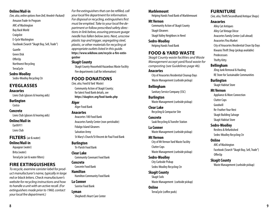#### **Online/Mail-in**

*(See, also, online options from Dell, Hewlett-Packard)* Amazon Trade-In Program ARC of Washington Buy Back World Craigslist E-Cycle Washington Facebook (Search "Skagit Buy, Sell, Trade") Gazelle Green Disk OfferUp Northwest Recycling TerraCycle

#### **Sedro-Woolley**

Sedro-Woolley Recycling Ctr

#### **EYEGLASSES**

#### **Anacortes**

Lions Club (glasses & hearing aids)

#### **Burlington**

Costco

#### **Concrete**

Lions Club (glasses & hearing aids)

#### **Online/Mail-in**

Earth911 Lions Club

#### **FILTERS** (air & water)

**Online/Mail-in**

Aquagear (water) Brita (water) TerraCycle (air & water filters)

#### **FIRE EXTINGUISHERS**

*To recycle, examine canister label for product manufacturer's name, typically in large red or black letters. Check manufacturer's website for recycling instructions and how to handle a unit with an active recall. (For extinguishers made prior to 1960, contact your local fire department.)*

*For fire extinguishers that can be refilled, call your local fire department for information. For disposal or recycling, extinguishers first must be emptied. Take to your local fire department or follow prescribed safety directions in link below, assuring pressure guage needle has fallen below zero. Next, unscrew plastic top and trigger, segregating steel, plastic, or other materials for recycling at appropriate outlets listed in this guide.*  **https://www.wikihow.com/recycle-a-fire-extinguisher**

#### **Skagit County**

Skagit County Household Hazardous Waste Facility Fire departments (call for information)

#### **FOOD DONATIONS**

(*See, also,* Food & Yard Waste) Community Action of Skagit County;

for latest Food Bank details, see **https://skagitcrc.org/food-banks.php**

#### **Alger**

Alger Food Bank

#### **Anacortes**

Anacortes 100 Food Bank Anacortes Family Center (non-perishable) Fidalgo Island Gleaners Salvation Army St Mary's Church/St Vincent de Paul Food Bank

#### **Burlington**

Tri-Parish Food Bank

**Clear Lake** Community Covenant Food Bank

#### **Concrete** Concrete Food Bank

**Hamilton** Hamilton Community Food Bank

#### **La Conner** Sunrise Food Bank

**Lyman** Shepherd's Heart Care Center

#### **Marblemount**

Helping Hands Food Bank of Marblemount

#### **Mt Vernon**

Community Action of Skagit County Skagit Gleaners

Skagit Valley Neighbors in Need

#### **Sedro-Woolley**

Helping Hands Food Bank

#### **FOOD & YARD WASTE**

*Skagit County waste facilities and Waste Management accept yard/food waste for composting (see Guidelines page 46).*

#### **Anacortes**

City of Anacortes Residential Cleanup Days Waste Management (curbside pickup)

#### **Bellingham**

Sanitary Service Company (SSC)

#### **Burlington** Waste Management (curbside pickup)

**Clear Lake** Recycling & Compactor Site

#### **Concrete** Sauk Recycling & Transfer Station

**La Conner** Waste Management (curbside pickup)

#### **Mt Vernon**

City of Mt Vernon Yard Waste Facility Clutter Cops

#### Waste Management (curbside pickup)

**Sedro-Woolley** City Curbside Pickup Sedro-Woolley Recycling Ctr

#### **Skagit County**

Skagit Soils Waste Management (curbside pickup)

#### **Online**

TerraCycle (coffee pods)

#### **FURNITURE**

(*See, also,* Thrift/Secondhand/Antique Shops)

#### **Anacortes**

Alley Cat Antiques Alley Cat Vintage Décor Anacortes Family Center (call ahead) Anacortes Flea Market City of Anacortes Residential Clean Up Days Kiwanis Thrift Shop (pickup available) **Predecessors** Thrifty Kitty

#### **Bellingham**

JDog Junk Removal & Hauling RE Store for Sustainable Communities

#### **Burlington** Skagit Habitat Store

#### **Mt Vernon**

Appliance & More Connection Clutter Cops Goodwill Re-Feather Your Nest Skagit Building Salvage Skagit Habitat Store

#### **Sedro-Woolley**

Restless & Refurbished Sedro-Woolley Recycling Ctr

#### **Online**

ARC of Washington Facebook (Search "Skagit Buy, Sell, Trade") OfferUp

### **Skagit County**

Waste Management (curbside pickup)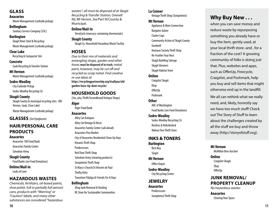#### **GLASS**

#### **Anacortes**

Waste Management (curbside pickup)

### **Bellingham**

Sanitary Service Company (SSC)

#### **Burlington**

Skagit River Steel & Recycling Waste Management (curbside pickup)

#### **Clear Lake**

Recycling & Compactor Site

#### **Concrete**

Sauk Recycling & Transfer Station

#### **Mt Vernon**

Waste Management (curbside pickup)

#### **Sedro-Woolley**

City Curbside Pickup

Sedro-Woolley Recycling Ctr

#### **Skagit County**

Skagit County & municipal recycling sites (Mt Vernon, Sauk, Clear Lake)

Waste Management (curbside pickup)

### **GLASSES** (*See* Eyeglasses)

### **HAIR/PERSONAL CARE PRODUCTS**

#### **Anacortes**

Anacortes 100 Food Bank

Anacortes Family Center

Salvation Army

#### **Skagit County**

Food Banks (*see* Food Donations)

### **Online/Mail-in**

Locks of Love

### **HAZARDOUS WASTES**

*Chemicals, fertilizers, oil-based paints, shoe polish, full or partially full aerosol cans, products with "Warning" or "Caution" labels, and many other substances are considered "hazardous* 

*wastes"; all must be disposed of at Skagit Recycling & Transfer Station, Ovenell Rd, Mt Vernon. See* Part III/County & Municipal.

#### **Online/Mail-In**

TerraCycle (mercury-containing thermostats)

#### **Skagit County**

Skagit Co. Household Hazardous Waste Facility

#### **HOSES**

*Due to their mix of materials and entangling shape, garden and other hoses* **must be disposed of in trash***; metal parts, however, may be cut off and recycled as scrap metal. Find creative re-use ideas at*  **https://recyclingpartnership.org/itsallyou/oldgarden-hose-tip-dont-recycle/**

### **HOUSEHOLD GOODS**

(*See, also,* Thrift/Secondhand/Antique Shops)

### **Alger**

Alger Food Bank

#### **Anacortes**

Alley Cat Antiques Alley Cat Vintage & Décor Anacortes Family Center (call ahead) Anacortes Flea Market City of Anacortes Residential Clean Up Days Kiwanis Thrift Shop **Predecessors** Red Door Thrift Shop Salvation Army (cleaning products) Soroptimist Thrift Shop St Mary's Church/St Vincent de Paul Thrifty Kitty Transition FIdalgo & Friends Fix-It Days

#### **Bellingham**

JDog Junk Removal & Hauling RE Store for Sustainable Communities

#### **La Conner**

Vintage Thrift Shop (Soroptimist)

#### **Mt Vernon**

Appliance & More Connection Bargains Galore Clutter Cops Community Action of Skagit County Goodwill Humane Society Thrift Shop Re-Feather Your Nest Skagit Building Salvage Skagit Gleaners Skagit Habitat Store

#### **Online**

Craigslist Skagit Ebay OfferUp Poshmark

#### **Other**

ARC of Washington Food Banks (see Food Donations)

#### **Sedro-Woolley**

Sedro-Woolley Recycling Ctr Restless & Refurbished Walnut Tree Thrift Store

### **INKS & TONERS**

**Burlington** Best Buy **Target Mt Vernon**

Office Depot

#### **Sedro-Woolley** City Recycling Center

### **JEWELRY**

**Anacortes Predecessors** Soroptimist Thrift Shop

### **Why Buy New . . .**

when you can save money and reduce waste by repurposing something you already have or buy the item, gently used, at your local thrift store–and , for a fraction of the cost? A growing community of folks is doing just that. Plus, websites and apps, such as OfferUp, Freecycle, Craigslist, and Poshmark, help you buy and sell items that might otherwise end up in the landfill. We all can rethink what we really need, and, likely, honestly say we have too much stuff! Check out The Story of Stuff to learn about the challenges created by all the stuff we buy and throw away (http://storyofstuff.org).

**Mt Vernon** McMillan Bros Auction

#### **Online**

Craigslist Skagit Ebay OfferUp

### **JUNK REMOVAL/ PROPERTY CLEANUP**

*No hazardous wastes*

**Anacortes** Clearing Your Space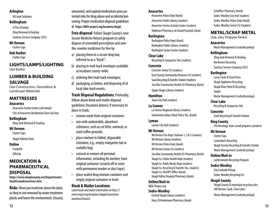#### **Arlington**

AD Junk Solutions

#### **Bellingham**

A Plus Cleanup

JDog Removal & Hauling

Sanitary Service Company (SSC)

#### **Mt Vernon**

Clutter Cops

#### **Oak Harbor**

Clutter Cops

**LIGHTS/LAMPS/LIGHTING** (*See* Bulbs)

#### **LUMBER & BUILDING SALVAGE**

(*See* Construction, Demolition & Landscape Materials)

### **MATTRESSES**

#### **Anacortes**

Anacortes Family Center (call ahead) City of Anacortes Residential Clean Up Days

#### **Bellingham**

JDog Junk Removal & Hauling

#### **Mt Vernon**

Clutter Cops

Skagit Habitat Store

#### **Online**

Craigslist

OfferUp

#### **MEDICATION & PHARMACEUTICAL DISPOSAL**

**https://www.skagitcounty.net/Departments/ Health/medicinereturn.htm**

**Risks**: *Never put medicines down the drain,* as they're not removed by water treatment plants and harm the environment. Unused,

unwanted, and expired medications pose potential risks for drug abuse and accidental poisoning. Proper medication disposal guidelines at **https://MED-project.org/locations/skagit**

**Free disposal**: Follow Skagit County's new Secure Medicine Return program to safely dispose of unneeded prescription and overthe-counter medicines for free by

- a) placing them in a secure drop box, referred to as a "kiosk";
- b) placing in mail-back envelopes available at locations county-wide;
- c) ordering free mail-back envelopes;
- d) packaging, as below, and disposing of at local take-back events.

#### **Trash Disposal Regulations**: Preferably, follow above kiosk and mailer disposal guidelines (locations below); if necessary to place in trash,

- remove meds from original container;
- mix with undesirable, absorbent substance, such as cat litter, oatmeal, or used coffee grounds;
- place mixture in lidded, disposable container, e.g., empty margarine tub or sealable bag;
- conceal or remove all personal information, including Rx number, from original container (scratch off or cover with permanent marker or duct tape);
- place sealed drug mixture container *and* empty original container in trash.

#### **Kiosk & Mailer Locations**:

*Latest kiosk and mailer information at https:// med-project.org/locations/skagit/convenientlocations/#search*

#### **Anacortes**

Anacortes Police Dept (kiosk) Anacortes Public Library (mailers) Anacortes Senior Activity Center (mailers) Skidmore Pharmacy (at Island Hospital, kiosk)

#### **Burlington**

Burlington Police Dept (kiosk) Burlington Public Library (mailers) Burlington Senior Center (mailers)

#### **Clear Lake**

Recycling & Compactor Site (mailers)

#### **Concrete**

Concrete Senior Ctr (mailers) East County Community Resource Ctr (mailers) Sauk Recycling & Transfer Station (mailers) Sea Mar Community Health Ctr Pharmacy (kiosk) Upper Skagit Library (mailers)

#### **Hamilton**

Town City Hall (mailers)

**La Conner**

La Conner Regional Library (mailers) Swinomish Indian Tribal Police Sta. (kiosk)

#### **Lyman**

Lyman City Hall (mailers)

#### **Mt Vernon**

Mt Vernon Fire Dept: Stations 1, 2 & 3 (mailers) Mt Vernon Library (mailers) Mt Vernon Police Dept (kiosk) Mt Vernon Senior Ctr (mailers) Sea Mar Community Health Ctr Pharmacy (kiosk) Skagit Co. Public Health Dept (mailers) Skagit Co. Public Works Dept (mailers) Skagit Co. Recycling & Transfer Sta. (mailers) Skagit Co. Sheriff's Office (kiosk) Skagit Valley Hospital Pharmacy (kiosk)

#### **Online/Mail-in**

MED-Project.org

#### **Sedro-Woolley**

Central Skagit Library (mailers) Hwy 20 Hometown Pharmacy (kiosk) Schaffner Pharmacy (kiosk) Sedro-Woolley City Hall (mailers) Sedro-Woolley Police Dept (kiosk) Sedro-Woolley Senior Ctr (mailers)

### **METAL/SCRAP METAL**

(*See, also,* Propane Tanks)

#### **Anacortes**

Waste Management (curbside pickup)

#### **Bellingham**

JDog Junk Removal & Hauling Northwest Recycling Sanitary Service Company (SSC)

#### **Burlington**

Larry's Auto & Truck Parts Skagit Appliance Recycling Skagit River Steel & Recycling Target Waste Management (curbside pickup)

### **Clear Lake**

Recycling & Compactor Site

#### **Concrete** Sauk Recycling & Transfer Station

#### **King County**

The Recology Store (small propane cylinders)

#### **Mt Vernon**

Clutter Cops Lautenbach Recycling Skagit County Recycling & Transfer Station Waste Management (curbside pickup)

#### **Online/Mail-in**

Lamb Awards Recycling Program

#### **Sedro-Woolley**

City Curbside Pickup Sedro-Woolley Recycling Ctr

#### **Skagit County**

Skagit County & municipal recycling sites (Mt Vernon, Sauk, Clear Lake) Waste Management (curbside pickup)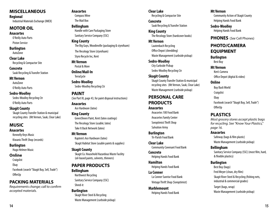#### **MISCELLANEOUS**

**Regional**

Industrial Materials Exchange (IMEX)

#### **MOTOR OIL**

**Anacortes**

O'Reilly Auto Parts Piston Service

### **Burlington**

AutoZone

**Clear Lake** Recycling & Compactor Site

#### **Concrete** Sauk Recycling & Transfer Station

**Mt Vernon**

AutoZone O'Reilly Auto Parts

#### **Sedro-Woolley**

Sedro-Woolley Recycling Ctr O'Reilly Auto Parts

#### **Skagit County**

Skagit County Transfer Station & municipal recycling sites (Mt Vernon, Sauk, Clear Lake)

#### **MUSIC**

#### **Anacortes**

Kennelly Keys Music Kiwanis Thrift Shop (records)

#### **Burlington**

Hugo Helmer Music

#### **Online**

**Craigslist** 

Ebay

Facebook (search "Skagit Buy, Sell, Trade") OfferUp

#### **PACKING MATERIALS**

*Requirements change; call to confirm accepted materials.*

#### **Anacortes** Compass Wine

The Mail Box

**Bellingham** Handle with Care Packaging Store Sanitary Service Company (SSC)

#### **King County** The Big Guys, Woodinville (packaging & styrofoam) The Recology Store (styrofoam) Styro Recycle Inc, Kent

**Mt Vernon** Postal & More

**Online/Mail-In** TerraCycle

**Sedro-Woolley** Sedro-Woolley Recycling Ctr

#### **PAINT**

(*See* Part III, page 43, for paint disposal instructions)

**Anacortes** Ace Hardware (latex)

#### **King County**

GreenSheen Paint, Kent (latex coatings) The Recology Store (usable; latex) Take It Back Network (latex)

#### **Mt Vernon**

Kaptein's Ace Hardware (latex) Skagit Habitat Store (usable paints & supplies)

#### **Skagit County**

Skagit Co. Household Hazardous Waste Facility (oil-based paints, solvents, thinners)

### **PAPER PRODUCTS**

**Bellingham** Northwest Recycling Sanitary Service Company (SSC)

Shred-it

#### **Burlington**

Skagit River Steel & Recycling Waste Management (curbside pickup) **Clear Lake** Recycling & Compactor Site

**Concrete** Sauk Recycling & Transfer Station

**King County** The Recology Store (hardcover books)

**Mt Vernon** Lautenbach Recycling Office Depot (shredding) Waste Management (curbside pickup)

**Sedro-Woolley**

City Curbside Pickup Sedro-Woolley Recycling Ctr

#### **Skagit County**

Skagit County Transfer Station & municipal recycling sites (Mt Vernon, Sauk, Clear Lake) Waste Management (curbside pickup)

#### **PERSONAL CARE PRODUCTS**

- **Anacortes**
	- Anacortes 100 Food Bank Anacortes Family Center Soroptimist Thrift Shop Salvation Army

**Burlington**

Tri-Parish Food Bank

**Clear Lake** Community Covenant Food Bank

**Concrete** Helping Hands Food Bank

**Hamilton** Helping Hands Food Bank

**La Conner** La Conner Sunrise Food Bank Vintage Thrift Shop (Soroptimist)

**Marblemount** Helping Hands Food Bank

#### **Mt Vernon**

Community Action of Skagit County Helping Hands Food Bank

**Sedro-Woolley** Helping Hands Food Bank

**PHONES** (*See* Cell Phones)

### **PHOTO/CAMERA EQUIPMENT**

**Burlington** Best Buy

#### **Mt Vernon**

Ken's Camera Office Depot (digital & video)

#### **Online**

Buy Back World **Craigslist** Ebay Facebook (search "Skagit Buy, Sell, Trade") OfferUp

### **PLASTICS**

*Most grocery stores accept plastic bags for recycling. See "Know Your Plastics," page 16.*

#### **Anacortes**

Safeway (bags & film plastic) Waste Management (curbside pickup)

#### **Bellingham**

Sanitary Service Company (SSC) (most film, hard, & flexible plastics)

#### **Burlington**

Best Buy (bags) Fred Meyer (clean, dry film) Skagit River Steel & Recycling (fishing nets, industrial & commercial grades)

Target (bags, wrap) Waste Management (curbside pickup)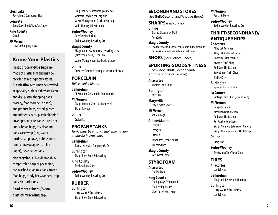#### **Clear Lake**

Recycling & Compactor Site

**Concrete**

Sauk Recycling & Transfer Station

**King County** Shred-it

**Mt Vernon**

Lowe's (shopping bags)

### **Know Your Plastics**

Plastic **grocery-type bags** are made of plastic film and may be recycled at most grocery stores. **Plastic film** items may be recycled at specialty outlets if they are clean and dry: plastic shopping bags, grocery, food storage (zip top), and produce bags, rinsed garden amendments bags, plastic shipping envelopes, non-tearable cereal box liners, bread bags, dry cleaning bags, case wrap (e.g., water bottles), air pillows, bubble wrap, product overwrap (e.g., toilet paper), newspaper bags.

**Not recyclable:** bio-degradable/ compostable bags or packaging, pre-washed salad mix bags, frozen food bags, candy bar wrappers, chip bags, six-pack rings.

**Read more** at **https://www. plasticfilmrecycling.org/**.

Skagit Master Gardeners (plastic pots) Walmart (bags, clean, dry film) Waste Management (curbside pickup) Wells Nursery (plastic pots)

#### **Sedro-Woolley**

City Curbside Pickup Sedro-Woolley Recycling Ctr

**Skagit County** Skagit County & municipal recycling sites (Mt Vernon, Sauk, Clear Lake)

Waste Management (curbside pickup)

#### **Online**

Preserve Gimme 5 (hard plastics, toothbrushes)

#### **PORCELAIN**

*Toilets, sinks, tile, etc.*

#### **Bellingham** RE Store for Sustainable Communities

**Mt Vernon** Skagit Habitat Store (usable items) Skagit Salvage

#### **Online Craigslist**

**PROPANE TANKS** *Tanks must be empty; requirements vary; phone for instructions.*

**Bellingham** Sanitary Service Company (SSC)

**Burlington** Skagit River Steel & Recycling

**King County** The Recology Store

**Sedro-Woolley** Sedro-Woolley Recycling Ctr

#### **RUBBER**

**Burlington**  Larry's Auto & Truck Parts Skagit River Steel & Recycling

#### **SECONDHAND STORES**

(*See* Thrift/Secondhand/Antique Shops)

#### **SHARPS** (needles, syringes)

#### **Online**

Sharps Disposal by Mail TerraCycle

**Skagit County** Look for sharps disposal containers in medical and business locations, usually in a restroom.

**SHOES** (*See* Clothes/Shoes)

#### **SPORTING GOODS/FITNESS**

(*Check, also,* Thrift/Secondhand/ Antique Shops; call ahead)

### **Anacortes**

Kiwanis Thrift Shop

**Burlington** Best Buy

**Marysville** Play It Again Sports

#### **Mt Vernon** Value Village

#### **Online/Mail-in**

**Craigslist** Freecycle OfferUp Rebounces (tennis balls)

REI.com/used

#### **Skagit County** Northwest Center

#### **STYROFOAM**

**Anacortes** The Mail Box

#### **King County** The Big Guys, Woodinville The Recology Store Styro Recycle Inc, Kent

#### **Mt Vernon**

Postal & More

#### **Sedro-Woolley** Sedro-Woolley Recycling Ctr

#### **THRIFT/SECONDHAND/ ANTIQUE SHOPS Anacortes**

Alley Cat Antiques Alley Cat Vintage & Décor Anacortes Flea Market Kiwanis Thrift Shop Red Door Thrift Shop Soroptimist Thrift Shop Thrifty Kitty **Burlington**

Spruced Up Thrift Shop

**La Conner** Vintage Thrift Shop (Soroptimist)

#### **Mt Vernon**

Bargains Galore McMillan Bros Auction Red Door Thrift Shop Re-Feather Your Nest Skagit Gleaners & Gleaners Galleria Skagit Humane Society Thrift Shop

#### **Online**

**Craigslist** 

**Sedro-Woolley**

The Walnut Tree Thrift Shop

#### **TIRES**

**Anacortes** Les Schwab

**Bellingham** JDog Junk Removal & Hauling

**Burlington** Larry's Auto & Truck Parts Les Schwab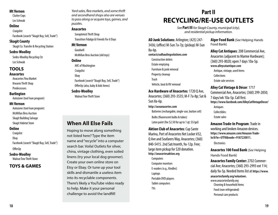#### **Mt Vernon**

Clutter Cops Les Schwab

#### **Online**

**Craigslist** 

Facebook (search "Skagit Buy, Sell, Trade")

#### **Skagit County**

Skagit Co. Transfer & Recycling Station

#### **Sedro-Woolley**

Sedro-Woolley Recycling Ctr Les Schwab

#### **TOOLS**

#### **Anacortes**

Anacortes Flea Market Kiwanis Thrift Shop Predecessors

#### **Burlington**

Autozone (tool loan program)

#### **Mt Vernon**

Autozone (tool loan program) McMillan Bros Auction Skagit Building Salvage Skagit Habitat Store

#### **Online**

Craigslist

Ebay

Facebook (search "Skagit Buy, Sell, Trade")

OfferUp

#### **Sedro-Woolley**

Walnut Tree Thrift Store

#### **TOYS & GAMES**

*Yard sales, flea markets, and some thrift and secondhand shops also are venues to pass along or acquire toys, games, and puzzles.*

#### **Anacortes**

Soroptimist Thrift Shop Transition Fidalgo & Friends Fix-it Days

#### **Mt Vernon**

Goodwill McMillan Bros Auction (old toys)

#### **Online**

ARC of Washington **Craigslist** Ebay Facebook (*search* "Skagit Buy, Sell, Trade") OfferUp (also, baby & kids Items) **Sedro-Woolley**

#### Walnut Tree Thrift Store

### **When All Else Fails**

Hoping to move along something not listed here? Type the item name and "recycle" into a computer search bar. Voila! Outlets for silver, china, vintage clothing, even soiled linens (try your local dog groomer). Create your own online store on Etsy or Ebay. Or tune up your tool skills and dismantle a useless item into its recyclable components. There's likely a YouTube video ready to help. Make it your personal challenge to avoid the landfill!

### **Part II RECYCLING/RE-USE OUTLETS**

*See* **Part III** *for Skagit County, municipal (city), and residential pickup information.*

**AD Junk Solutions**: Arlington; (425) 247- 3436; (office) M-Sun 7a-7p; (pickup) M-Sun

8a-6p. **contact@adhaulingsolutions.com** Construction debris Estate emptying Furniture & junk removal Property cleanup Trash Vehicle, boat & RV removal

**Ace Hardware of Anacortes**: 1720 Q Ave, Anacortes; (360) 293-3535; M-F 7a-8p; Sat & Sun 8a-6p.

#### **http://aceanacortes.com**

Batteries (rechargable, single-use, button cell) Bulbs (fluorescent bulbs & tubes) Latex paint (fee \$2.50 for up to 1 qt; \$5/gal)

**Aktion Club of Anacortes**: Cap Sante Marina, Port of Anacortes Net Locker #32, Q Ave and Seafarers Way, Anacortes; (360) 840-5415. 2nd Sat/month,9a-12p. Free; large item pickup for \$20 donation. **http://anacortesaktion.org** 

**Computers** Computer monitors E-readers (e.g., Kindles) Laptops Portable DVD players Tablet computers TVs

**Alger Food Bank** (*See* Helping Hands Food Bank)

**Alley Cat Antiques**:208 Commercial Ave, Anacortes (adjacent to Marine Hardware); (360) 293-8020; open 7 days 10a-5p. **www.alleycatantique.com** Antique, vintage, used items **Collections** Estate sale services **Alley Cat Vintage & Décor**: 1717

#### Commercial Ave, Anacortes; (360) 299-2850; 7 days/wk 10a-5p. Call first. **https://www.facebook.com/AlleyCatVintageDecor/** Antiques **Collectibles** Estate sales

**Amazon Trade-In Program: Trade in** working and broken Amazon devices. **https://www.amazon.com/Amazon-Trade-In/b?ie=UTF8&node=9187220011.** 

**Electronics** 

**Anacortes 100 Food Bank** (*See* Helping Hands Food Bank)

**Anacortes Family Center:** 2702 Commercial Ave; Anacortes; (360) 293-2993 ext 114; daily 9a-5p. Needed Items list at **https://www. anacortesfamily.org/volunteer.** www.anacortesfamily.org Cleaning & household items Food (non-refrigerated) Personal care products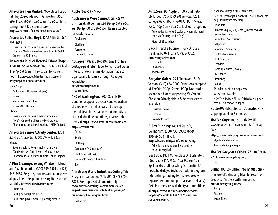293-4684. Secure Medicine Return kiosk (*for details, see* Part

**Anacortes Flea Market: 7656 State Rte 20** (at Hwy 20 roundabout), Anacortes; (360)

I Items – Medications/Pharmaceuticals & Part II Outlets – MED-Project)

#### **Anacortes Public Library & FriendShop**:

1220 10th St, Anacortes; (360) 293-1910; M-F 11a-7p, Sat & Sun 11a-4p. Call for current hours. **https://www.friendsoftheanacorteslibrary.org/book-donations.html**

FriendShop

Audio books (NO cassette tapes)

Books

Magazines (collectible)

Videos (NO VHS tapes)

Library

Secure Medicine Return mailers available (*for details, see* Part I Items – Medications/ Pharmaceuticals & Part II Outlets – MED-Project)

#### **Anacortes Senior Activity Center**: 1701

22nd St, Anacortes; (360) 294-7473 (call ahead).

Secure Medicine Return mailers available (for details, see Part I Items – Medications/ Pharmaceuticals & Part II Outlets – MED-Project)

**A Plus Cleanups**: Serving Whatcom, Island, and Skagit counties; (360) 599-1501 or (425) 343-8438. Recycles, donates, and repurposes all possible to keep unnecessary items out of landfills. **https://apluscleanups.com/** 

Dump runs

Garbage cleanup, cleanouts,

Residential junk removal & property cleanup

**Apple** (*See* City Mac)

**Appliance & More Connection**: 729 W Division St, Mt Vernon; M-F 9a-6p, Sat 9a-5p, Sun 9a-4p; (360) 336-5557. Items accepted for resale, repair.

Appliances Clothing Furniture

Household Items

**Aquagear**: (888) 326-0397. Email for free postage-paid return label to mail used water filters. For each return, donation made to Uganda and Tanzania through Aquagear Foundation. **Recycle@aquagear.com**

Water filters

**ARC of Washington**: (800) 826-4310. Donations support advocacy and education of people with intellectual and developmental disabilities. Call or email for pickup of tax-deductible donations; unacceptable items at **https://www.arcthrift.com/donations http://arcthrift.com.**

Autos

Books Clothing Computers (NO monitors) Electronics (NO TVs) Household goods & furniture

Toys

**Armstrong World Industries Ceiling Tile Program**: Lancaster, PA 17604; (877) 276-

7876. Pre-approved shipments only. **www.armstrongceilings.com/commercial/enus/performance/sustainable-building-design/ ceiling-recycling-program.html** 

Ceiling tiles

**AutoZone**: *Burlington:* 150 S Burlington Blvd; (360) 755-1559. *Mt Vernon:* 720 E College Way; (360) 416-0137. Both M-Sat 7:30a-10p, Sun 7:30a-8p. Tool loan program. Automotive batteries (receive payment via merch card; \$10/battery; limit 5/day)

Motor oil (5 gal/day)

**Back Thru the Future**: 1 Park Dr, Ste 3, Franklin, NJ 07416; (973) 823-9752. **cdrecyclingforfree.com**

CDs/DVDs

Hard drives

Jewel cases

**Bargains Galore**: 224 Chenoweth St, Mt Vernon; (360) 424-0908. Donations accepted M-F 9:30a-5:30p, Sat 9a-4:30p. Non-profit secondhand store supporting Mt Vernon Christian School; pickup & delivery services available.

Christmas items

Clothing

Household Goods

**B-Bay Running**: 1431 N State St, Bellingham; (360) 738-6900; M-Sat 10a-6p; Sun 11a-5p. **https://bbayrunning.com/shoe-recycling/** Athletic shoes (any brand; donated for re-use or recycled)

**Best Buy**: 1851 Marketplace Dr, Burlington; (360) 757-3414; M-Sat 10a-9p, Sun 10a-8p.Free drop-off recycling (3-item limit/ household/day); Buyback/trade-in program; refurbishing; hauling for fee (reduced with replacement product purchase and delivery). Details on service availability and conditions at **https://www.bestbuy.com/site/services/ recycling/pcmcat149900050025.c?id=pcmcat149900050025**

Appliances (large & small home; fee) Batteries (rechargeable only: Ni-Cd, cell phone, etc; bag similar types together) **Binoculars** Cameras (digital, SLR, lenses), memory cards, camcorders (free) Car systems & accessories Cell phones Computers & tablets Digital photo frames Electronics (free) E-readers Home appliances (sm & lg) Ink & toner Plastic bags Radios TV, video, music, movie players Wires, cords & cables NO: CDs  $\triangle$  DVDs  $\triangle$  Blu-rav/HD DVDs  $\triangle$  tapes  $\triangle$ records  $\triangle$  8-track/VHS tapes

**BetterWorldBooks.com/donate: Free** shipping label for 3+ books.

**The Big Guys**: 18815 139th Ave NE, Woodinville; (425) 820-8500; M-F 9a-4p. Free.

**https://www.thebigguys.com/doing-our-part** Styrofoam (clean, dry) Transportation packaging

**The Bra Recyclers**: Gilbert, AZ; (480) 988- 2283. **www.brarecycling.com/** Bras

**Brita**: (800) 24-BRITA. Free, annual, onetime use UPS shipping label for return of products. Partners with TerraCycle. **Brita.com/recycling-filters/**

Bottles **Pitchers** water filters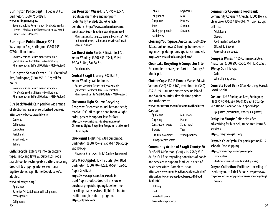**Burlington Police Dept**: 11 Cedar St #B, Burlington; (360) 755-0921. **www.burlingtonwa.gov.**

Secure Medicine Return kiosk (*for details, see* Part I Items – Medications/Pharmaceuticals & Part II Outlets – MED-Project)

#### **Burlington Public Library: 820 E**

Washington Ave, Burlington; (360) 755- 0760; call for hours.

Secure Medicine Return mailers available (*for details, see* Part I Items – Medications/ Pharmaceuticals & Part II Outlets – MED-Project)

#### **Burlington Senior Center**: 1011 Greenleaf Ave, Burlington; (360) 755-0102; call for

hours.

Secure Medicine Return mailers available (*for details, see* Part I Items – Medications/ Pharmaceuticals & Part II Outlets – MED-Project)

### **Buy Back World**: Cash paid for wide range

of electronics; sales of refurbished devices.

#### **https://www.buybackworld.com/**

- Cameras
- Cell phones
- **Computers**
- Peripherals
- Smart watches
- Tablets

#### **Call2Recycle**: Extensive info on battery types, recycling laws & sources; ZIP code search tool for rechargeable battery recycling drop-off & shipping info; serves major Big Box stores, e.g., Home Depot, Lowe's,

#### Staples.

**www.call2recycle.org/**

Appliances

Batteries (Ni-Cad, button cell, cell phone, rechargeable)

Cell phones

**Car Donation Wizard**: (877) 957-2277. Facilitates charitable and nonprofit (potentially tax deductible) vehicle donations. **https://www.cardonationwizard. com/state/46/car-donation-washington.html** Most cars, trucks, boats & personal watercraft, RVs and motorhomes, trailers, motorcycles, off-road vehicles & more

**Car Quest Auto Parts: 816 Murdock St.** Sedro-Woolley; (360) 855-0341; M-Fri 7:30a-5:30p; Sat 8a-5p.

Auto batteries

**Central Skagit Library**: 802 Ball St, Sedro-Woolley; call for hours. Secure Medicine Return mailers available (*for details, see* Part I Items – Medications/ Pharmaceuticals & Part II Outlets – MED-Project)

#### **Christmas Light Source Recycling**

**Program**: Open year-round; box and send; receive 10%-off coupon good for new light order; proceeds support Toys for Tots. **https://www.christmas-light-source.com/ Christmas-Lights-Recycling-Program\_c\_210.html** String lights

**Chuckanut Lighting**: 938 Fountain St, Burlington; (888) 757-2195; M-Fri 9a-5:30p, Sat 10a-5p.

Fluorescent (all types, limit 10; minor lamp repair)

**City Mac (Apple)**: 1771 S Burlington Blvd, Burlington; (360) 707-4282; M-Sat 10a-6p. Apple GiveBack

**https://www.apple.com/shop/trade-in**. Used Apple product drop-off at store or purchase prepaid shipping label for free recycling; many devices eligible for in-store credit through trade-in program. **https://citymac.com**

| Cables              | Keyboards       |
|---------------------|-----------------|
| Cell phones         | Mice            |
| Computers           | Printers        |
| iPods               | <b>Scanners</b> |
| Display peripherals | <b>Speakers</b> |
| Hard drives         |                 |

**Clearing Your Space**: Anacortes; (360) 202- 4205. Junk removal & hauling, home cleaning, moving, dump runs, appliance removal. **https://www.facebook.com/junkisus/**

**Clear Lake Recycling & Compactor Site**: For complete details, see Part III – County & Municipal.

**Clutter Cops**: 13213 Farm to Market Rd, Mt Vernon; (360) 632-6169; text photo to (360) 632-6169. Hauling services serving Island and Skagit counties; flexible time periods and rush services.

**www.thecluttercops.com/** or **admin@TheClutter-Cops.com**

| <b>Mattresses</b> |
|-------------------|
| Pianos            |
| Scrap metal       |
| Tires             |
| Wood products     |
|                   |
|                   |

#### **Community Action of Skagit County**: 30

Pacific Pl, Mt Vernon; (360) 416-7585; M-F 8a-5p. Call first regarding donations of goods and services to support families in need of basic necessities. Complete list at **https://www.communityactionskagit.org/inkind/ http://skagitcrc.org/docs/foodbanks.pdf (Food Bank info)**

Clothing Food Household goods Personal care products

#### **Community Covenant Food Bank**:

Community Covenant Church, 12605 Hwy 9, Clear Lake; (360) 419-7061; M 10a-12:30p; call first. Adult items **Diapers** Food (fresh & packaged)

Gifts (child & teen) Personal care products

**Compass Wines**: 1405 Commercial Ave, Anacortes; (360) 293-6500; M-F 12-6p, Sat 10a-6p, Sun 11a-5p. **Corks** Wine shipping boxes

**Concrete Food Bank** (*See* Helping Hands Food Bank)

**Costco**: 1725 S Burlington Blvd, Burlington; (360) 757-5703; M-F 10a-8:30p Sat 9:30a-6p, Sun 10a-6p. Donation box in optical dept.

Eyeglasses (prescription, readers, sunglasses)

**Craigslist Skagit**: Online classified advertising for buy, sell, trade, free items & services.

**https://skagit.craigslist.org**

**Crayola ColorCycle**: For participating K-12 schools. Free shipping. **https://www.crayola.com/colorcycle. Highlighters** 

Plastic markers (all brands, incl dry erase)

**Crayon Collection**: Facilitates upcycling of used crayons to Title I Schools. **https://www. crayoncollection.org/programs/crayon-recycling/**  Crayons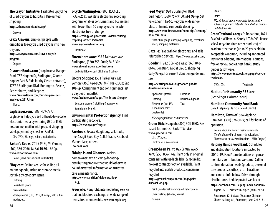**The Crayon Initiative**: Facilitates upcycling of used crayons to hospitals. Discounted shipping.

**https://thecrayoninitiative.org/**

Crayons

**Crazy Crayons**: Employs people with disabilities to recycle used crayons into new crayons.

**https://crazycrayons.com/crayon-recycle-**

#### **program/**

Crayons

**Discover Books.com** (drop boxes): Haggen Food, 757 Haggen Dr, Burlington; George Hopper Park & Ride lot (by Costco entrance), 1787 S Burlington Blvd, Burlington. Resells, Redistributes, and Recycles. **www.DiscoverBooks.com/Our-Program-Get-Involved-s/2517.htm**

Books

#### **Eaglesaver.com**: (888) 409-7773.

Eaglesaver helps you sell difficult-to-recycle electronic media by entering UPC or ISBN nos. online; mail in with prepaid shipping label; payment by check or PayPal.

CDs, DVDs, Blu-rays, videos, audio books

**Easton's Books:** 701 S 1<sup>ST</sup> St, Mt Vernon; (360) 336-2066; M-Sat 10:30a-5:30p. **www.eastonsbooks.com**

Books (used, out-of-print, collectible)

**EBay.com**: Online venue for selling all manner goods, including storage media; sortable by category, genre.

Clothing

Household goods

Personal items

Storage media (CDs, DVDs, Blu-rays, VHS & film movies, etc)

#### **E-Cycle Washington**: (800) RECYCLE

(732-9253). WA state electronics recycling program: enables consumers and businesses with fewer than 50 employees to recycle electronics free of charge. **https://ecology.wa.gov/Waste-Toxics/Reducingrecycling-waste/Electronics www.ecyclewashington.org. Electronics** 

**Ekrem Hardware**: 237 E Fairhaven Ave, Burlington; (360) 755-0040; 8a-5:30p. **www.ekremhardware.doitbest.com**

Bulbs (all fluorescent CFL bulbs & tubes)

**Encore Shoppe:** 1501 Parker Way, Mt Vernon; (360) 424-8099. M-F 10a-5:30p; Sat 10a-5p. Consignment (no consignments last 5 days each month).

**www.facebook.com/pages/The-Encore-Shoppe/** Seasonal women's clothing & accessories Some junior brands

**Environmental Protection Agency**: Find participating recyclers. **https://www.epa.gov/recycle**

**Facebook**: *Search* Skagit buy, sell, trade, free; Skagit Spot-Buy, Sell & Trade; Facebook Marketplace; others. **Facebook.com**

**Fidalgo Island Gleaners**: Assists homeowners with picking/donating/ distributing produce that would otherwise go unharvested; information on fruit tree care & maintenance. **http://www.transitionfidalgo.org/figg/** Fruit

**Freecycle**: Nonprofit, internet listing service that enables free exchange of wide range of items; free membership. **www.freecycle.org**

**Fred Meyer**: 920 S Burlington Blvd, Burlington; (360) 757-9100; M-F 9a-9p, Sat 9a-7p, Sun 11a-6p. Recycles wide range plastic film into composite decking. **https://www.fredmeyer.com/home-tips/cleaning/ be-a-zero-hero**

Plastic film (bags, outer pkg wrapping, cereal box liners, shipping materials)

**Gazelle**:Pays cash for electronics and sells refurbished devices. **https://www.gazelle.com/**

**Goodwill**: 242 E College Way; (360) 848- 0646. Donations M-Sat 8a-7p; shopping daily 9a-9p. For current donation guidelines, see

**http://seattlegoodwill.org/donate-goods/ donation-guidelines**

Appliances (small) Furniture Clothing Household goods Electronics (incl TVs Toys & monitors; max. 5 pcs/family)

*NO:* large appliances ◆ mattresses

**Green Disk**: Issaquah; (800) 305-DISK; Feebased Technotrash Pack IT Service. **www.greendisk.com**

CDs, DVDs, etc.

Electronics & accessories

**GreenSheen Paint**: 825 Central Ave S, Kent; (253) 856-1442. Paint only in original container with readable label & secure lid; no-cost contractor option available. Paint recycled into usable products; containers recycled.

**https://greensheenpaint.com/page/paintdisposal-wa.php.**

Paint (residential water-based [latex] only) Clear coatings (shellac, varnish) **Primers** 

#### Sealers

**Stains** 

*NO: oil-based paints* w *aerosols (spray cans)* w *solvents* w *products intended for industrial or nonarchitectural use*

**GreenTextbooks.org**: c/o Donations, 1871 East Wild Willow Ln, Sandy, UT 84093. Reuse, sale & recycling (into other products) of academic textbooks (up to 20 years old) in acceptable condition, including annotated instructor editions, international editions, free or review copies, test banks, study guides & software.

**https://www.greentextbooks.org/page/recycletextbooks.**

DVDs, CDs Textbooks

### **Habitat for Humanity RE Store**

(*See* Skagit Habitat Store)

**Hamilton Community Food Bank**

(*See* Helping Hands Food Bank) **Hamilton, Town of**: 584 Maple St,

Hamilton; (360) 826-3027; call for hours of operation.

Secure Medicine Return mailers available (*for details, see* Part I Items – Medications/ Pharmaceuticals & Part II Outlets – MED-Project)

**Helping Hands Food Bank**: Schedules and distribution locations impacted by COVID-19. Food/item donations on pause; monetary contributions welcome! Call to confirm donation needs (produce, personal care products, clothes, etc.). Locations and contact info below. Drive-through distribution schedule posted weekly at **https://facebook.com/HelpingHandsFoodBank/** 

**Alger:** 18716 Parkview Ln, Alger; (360) 724-5131.

**Anacortes:** 1211 M Ave (Anacortes Christian Church parking lot), Anacortes; (360) 724-5131.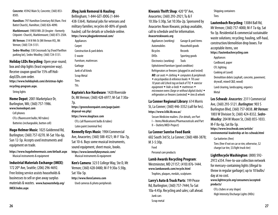**Concrete**: 45942 Main St, Concrete; (360) 853- 8505.

**Hamilton:** 797 Hamilton Cemetary Rd (Ham. First Batist Church), Hamilton; (360) 826-4090.

**Marblemount:** 59850 WA-20 (Inspire –formerly Citipoint–Church), Marblemount; (360) 873-2504.

**Mt Vernon:** 314 N 9th St (Mt Vernon HS), Mt Vernon; (360) 724-5131.

**Sedro-Woolley:** 530 Crossroads Sq (Food Pavillion parking lot), Sedro-Woolley; (360) 724-5131.

**Holiday LEDs Recycling**: Open year-round;

box and ship lights (least expensive way). Receive coupon good for 15% off HolidayLEDs.com order. **https://www.holidayleds.com/christmas-lightrecycling-program.aspx.**

String lights

#### **Home Depot**: 2001 Marketplace Dr, Burlington, WA; (360) 757-1986. **www.homedepot.com**

Cell phones

CFLs (fluorescent bulbs; NO tubes) Batteries (rechargeable, button cell)

**Hugo Helmer Music**:1025 Goldenrod Rd, Burlington; (360) 757-0270. M-Sat 10a-6p, Sun 12-5p. Accepts used instruments and equipment on trade.

**https://www.hugohelmermusic.com/default.aspx** Musical instruments & equipment

#### **Industrial Materials Exchange (IMEX)**:

172 20th Ave, Seattle; (206) 296-4692. Free listing service assists households & businesses to sell or give away surplus materials & wastes. **www.hazwastehelp.org/ IMEX/index.aspx** 

#### **JDog Junk Removal & Hauling**:

Bellingham; 1-844-GET-JDOG (1-844- 438-5364). National jobs for veterans and military families; recycles 60-80% of goods hauled; call for details or schedule online. **https://www.jdogjunkremoval.com/**

Appliances Carpet Construction & yard debris E-waste Furniture, mattresses Garbage Junk of all kinds Scrap Metal Tires TVs

**Kaptein's Ace Hardware**: 1420 Riverside Dr, Mt Vernon; (360) 428-6977; M-Sat 7:30a-7p. **https://greensheenpaint.com/page/paint-**

**disposal-wa.php**)

**https://www.skagitace.com** CFLs (all fluorescent bulbs & tubes) Latex paint (nominal fee)

#### **Kennelly Keys Music: 1904 Commercial**

Ave, Anacortes; (360) 588-4521; M-F 10a-7p, Sat 10-6. Buys some musical instruments, sound equipment, sheet music, books. **https://www.kennellykeysmusic.com/** Musical instruments & equipment

**Ken's Camera**: 323 E College Way, Ste D, Mt Vernon; (360) 428-0480; M-F 9:30a-5:30p, Sat 10a-5p.

**http://www.KensCamera.com** Used cameras & photo peripherals

#### **Kiwanis Thrift Shop**: 420 "O" Ave,

Anacortes; (360) 293-2921; Tu & F 10:30a-5:30p, Sat 10:30a-2p. Sponsored by Anacortes Noon Kiwanis; pickup available, call to schedule and for information. **Anacorteskiwanis.org**

Appliances (working) Garage & yard items Automobiles Household goods Bicycles Records DVDs Sporting goods Electronics (working) Tools Upholstered furniture (good condition) Refrigerators or freezers (plugged in and tested) *NO: car seats* ◆ *clothing* ◆ *computers & peripherals* ◆ encyclopedias & reference books ◆ *TVs over 10 years old (check tag on back of TV)* • *exercise equipment* • *hide-a-beds* • *mattresses* • *microwave ovens (large or without digital clocks)* w *refrigerators or freezers (untested)* • *tires & wheels* 

#### **La Conner Regional Library**: 614 Morris

St, La Conner; (360) 446-3352 (call for hrs). **https://www.lclib.lib.wa.us/**

Secure Medicine mailers. (*For details, see* Part I – Items/Medications/Pharmaceuticals and Part II – Outlets/MED-Project)

#### **La Conner Sunrise Food Bank**:

602 South 3rd St, La Conner; (360) 488-3878; M 3-5:30p.

Food

Personal care products

#### **Lamb Awards Recycling Program**:

Westminster, MD 21157; (410) 876-1444. **www.lambawards.com/recycle.html**

Trophies, plaques, medals, sculptures

#### **Larry's Auto & Truck Parts**: 199 Pease

Rd, Burlington; (360) 757-7444; Tu-Sat 10a-4:45p. Recycling and sales; call ahead. Junk cars Scrap metal

Shipping containers Tires

**Lautenbach Recycling**: 13084 Ball Rd,

Mt Vernon; (360) 757-4000; M-F 7a-6p, Sat 9a-3p. Residential & commercial sustainable waste solutions; recycling; hauling, self-haul, construction/demolition drop boxes. For acceptable items, see **https://lautenbachrecycling.com** Appliances Cardboard, paper CFL lighting Cooking oil (used) Demolition debris (asphalt, concrete, pavement; drywall, mixed C&D, wood) Land clearing, landscaping, organics Metal

**Les Schwab**: *Anacortes:* 2311 Commercial Ave, (360) 293-5121. *Burlington:* 903 S Burlington Blvd, (360) 757-0038. *Mt Vernon:* 1003 W Division St, (360) 424-8332. *Sedro-Woolley:*204 W Moore St, (360) 855-1033. M-F 8a-6p, Sat 8a-5p. **https://www.lesschwab.com/article/ environmental-leadership-at-les-schwab.html**

Car batteries (free)

Tires (free if not on car or rim; otherwise, \$2 charge/car tire, \$3/light truck tire)

#### **LightRecycle Washington**: (800) 592-

2972 x354. Free-to-use collection network for mercury-containing lights (illegal to throw in regular garbage); up to 10 bulbs/ day at no cost.

**www.lightrecycle.org/consumers/acceptedproducts/**

CFLs (tubes or any shape) High Intensity Discharge Lights (HIDs)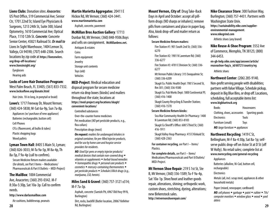**Lions Clubs**: Donation sites: *Anacortes:* US Post Office, 519 Commercial Ave; Senior Ctr, 1701 22nd St; Island Eye Physicians & Surgeons, 1213 24th St, Suite 300; Island Optometry, 1610 Commercial Ave; Optical Place, 1110 12th St. *Concrete:* Concrete Senior Center, 45821 Railroad St. *Or mail to* Lions In Sight Warehouse, 1404 Lemon St, Vallejo, CA 94590; (707) 648-2306. Search locations by zip code at **https://lionsnwlerc. org/drop-off-locations/ www.lionsinsight.org/**

Eyeglasses Hearing aids

#### **Locks of Love Hair Donation Program**:

West Palm Beach, FL 33405; (561) 833-7332. **www.locksoflove.org/donate.html**

Hair (min. 10-in long, in ponytail or braid)

**Lowe's**: 1717 Freeway Dr, Mount Vernon; (360) 424-5838; M-Sat 6a-9p, Sun 7a-8p.

Appliances (w/ purchase of new appliance) Batteries (rechargeable, button cell) Cell Phones

CFLs (fluorescent, all bulbs & tubes)

Plastic shopping bags

Wood pallets

**Lyman Town Hall**: 8405 S Main St, Lyman; (360) 826-3033; M-Tu 9a-5p, W 8a-4p, Th 8a-5p, F 9a-4p (call to confirm).

Secure Medicine Return mailers available (*for details, see* Part I Items – Medications/ Pharmaceuticals & Part II Outlets – MED-Project)

#### **The MailBox**: 1004 Commercial

Ave, Anacortes; (360) 293-0342. M-F 8:30a-5:30p, Sat 10a-3p. Call to confirm needs.

#### **http://www.darlasmailbox.com**

Air cushions, bubblewrap, peanuts

### **Martin Marietta Aggregates**: 20411 E

Hickox Rd, Mt Vernon; (360) 424-3441. **www.martinmarietta.com**

Asphalt, concrete, pavement

#### **McMillan Bros Auction Gallery**: 17713

Dunbar Rd, Mt Vernon; (360) 848-9506.Buys and sells on consignment. **McMillanbros.net.** Antiques & estates **Coins** 

Farm equipment Jewelry Storage unit contents Toys (old) Vehicles

**MED-Project**: Medical education and disposal program for secure medicine return via drop boxes (kiosks) and mailers throughout the state; locations at **https://med-project.org/locations/skagit/ convenient-locations/**

Controlled substances

Over-the-counter home medicines

Pet medication (*NO* pet pesticide products, e.g., flea collars)

Prescription drugs (most)

*On request: mailers for undamaged inhalers in original container, for pre-filled injector products, and for use by home care and hospice service providers for residents*.

*NO: Used Epi-pens or empty injector products/ medical devices that contain non-covered drug* w *vitamins or supplements* w *herbal-based remedies*  w *homeopathic drugs* w *personal care products* w

*cosmetics* w *mercury-containing thermometers* w *pet pesticide products* w *Schedule I/illicit drugs (e.g., marijuana, LSD, heroin).*

**Miles Sand & Gravel**: (360) 757-3121 x314; M-F 7a-3p.

Asphalt, concrete (Samish Pit, 6967 Old Hwy 99 N, Burlington)

**28 29** Dirt, rocks, backfill (Butler location, 20067 Kelleher Rd, Burlington)

**Mount Vernon, City of**: Drug Take-Back Days in April and October: accept all pillform drugs (NO sharps or inhalers); remove pills from containers and place in paper bag. Also, kiosk drop-off and mailer return as follows:

#### **Secure Medicine Return mailers:**

Fire Station #1: 901 South 2nd St; (360) 336- 6270

Fire Station #2: 1901 N Laventure Rd; (360) 336-6277

Fire Station #3: 4701 E Division St; (360) 336- 6277

Mt Vernon Public Library: 315 Snoqualmie St; (360) 336-6209

Skagit Co. Public Health Dept: 700 S Second St, Rm 301; (360) 336-9380

Skagit Co. Pub Works Dept: 1800 Continental Pl; (360) 416-1400

Skagit County Recycling & Transfer Station; (360) 416-1570

#### **Secure Medicine Return kiosks:**

Sea Mar Community Health Ctr Pharmacy: 1400 N Laventure Rd; (360) 853-8183

Skagit Co Sheriff's Office: 600 S Third St; (360) 416-1911

Skagit Valley Hosp Pharmacy: 415 E Kinkaid St; (360) 428-2363

**For container recycling***, see* Part I – Items/ **Plastics** 

**For complete details***, see* Part I – Items/ Medications/Pharmaceuticals and Part II/Outlets/ MED-Project.

**Mt Vernon Shoe Repair**: 219 S 1st St, Ste B, Mt Vernon; (360) 336-1589; Tu-F 9a-4p, Sat 10a-1p. Shoe/boot and leather goods repair, alterations, shining; orthopedic work, custom shoes, stretching, dyeing, alterations; new Birkenstock sales. **http://mtvernonshoerepair.com/**

**Nike Clearance Store**: 300 Fashion Way, Burlington; (360) 757-4431. Partners with Washington State Univ. **https://sustainability.nike.com/supplierenvironmental-management**. **www.nikegrind.com**  Athletic shoes (any brand)

**Nike Reuse-A-Shoe Program**: 3552 Ave of Commerce, Memphis, TN 38125; (800) 344-6453.

**en-gb-help.nike.com/app/answer/article/ reuseashoe-faq/a\_id/60721/country/eg**

Athletic shoes

**Northwest Center**: (206) 285-9140. Non-profit serving people with disabilities; partners with Value Village. Schedule pickup, deposit in Big Blue Bins, or drop off. Locations, scheduling, full acceptable items list: **www.bigbluetruck.org**

Books Housewares Clothing, shoes, accessories Sporting goods Electronics Tools Furniture (small) Toys *NO: large furniture* w *appliances*

**Northwest Recycling**: 1419 C St,

Bellingham; M-F 8a-4:30p, Sat 8a-1p; selfserve public drop-off on Astor St at D St (off W Holly). No retail sales; complete list at **www.nwrecycling.com/general-recycling** 

Appliances

Batteries (alkaline, Ni-Cad, button cell, rechargeable)

**Electronics** 

Metals (all, incl. scrap steel, appliances & other household metals)

Paper (mixed, newspaper, cardboard)

*NO: cell phones* w g*arbage* w *paint* w *rubber* w *TVs/ computer monitors*  $\bullet$  *window glass*  $\bullet$  *wood*  $\bullet$  *yard debris*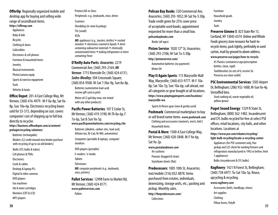**OfferUp:** Regionally organized mobile and desktop app for buying and selling wide range of secondhand items.

- **https://offerup.com**
- Appliances
- Baby & kids
- Bicycles
- Clothing & shoes
- Collectibles
- Electronics & cell phones
- Furniture & household items
- Jewelry
- Musical instruments
- Photo/camera equip
- Sports & exercise equipment
- Tools
- Vehicles & boats

**Office Depot**: 201-A East College Way, Mt Vernon; (360) 416-4979. M-F 8a-8p, Sat 9a-8p, Sun 10a-6p. Electronics recycling boxes sold for \$5-\$15, depending on size; covers companies' cost of shipping up to full box directly to recycler. **https://business.officedepot.com/a/content/ prelogin/recycling-solutions/** Batteries (rechargable)

Binders (\$2 credit toward new binder purchase with recycling of up to six old binders)

Bulbs (CFL bulbs & tubes)

Cell phones & PDAs

- **Electronics**
- Cords & cables
- Desktop & laptop PCs
- Digital & video cameras
- DVD players
- Fax machines
- Ink & toner cartridges

MP3 players

Monitors (CRT & LCD)

Printers/All-in-Ones Peripherals: e.g., keyboards, mice, drives **Scanners** Shredding (in-store & pickup) TVs (small)

#### VCRs

*NO: appliances (e.g., toasters, kettles)* w *cracked monitors • electronics covered in liquids • items containing radioactive materials* w *chemically contaminated items* w *leaking refrigerators or items containing Freon*

**O'Reilly Auto Parts**: *Anacortes:* 2219 Commercial Ave; (360) 293-2164; *Mt Vernon:* 1715 Riverside Dr; (360) 424-6131; *Sedro-Woolley:* 504 Crossroads Square; (360) 854-9508. M-Sat 7:30a-9p, Sun 8a-8p. Batteries (automotive lead-acid; receive gift card as pmt)

Motor oil (5 gal/day max; not mixed with any other products)

**Pacific Power Batteries**: 107 E Cedar St, Mt Vernon; (360) 419-3190; M-Th 8a-6p, F 7a-6p, Sat & Sun 9a-5p. **www.pacificpowerbatteries.com/recycling.cfm**

Batteries (alkaline, carbon-zinc, lead-acid, lithium ion, Ni-Cad, Ni-MH, automotive)

Computers (portable & laptop), computer monitors

DVD players (portable)

E-readers / e-books

**Tablets** 

**Televisions** 

*NO: computer peripherals (e.g., keyboards, mice, printers)* 

**Pallet Services**: 12998 Farm to Market Rd, Mt Vernon; (360) 424-8171. **www.palletservices.com Pallets** 

**Pelican Bay Books**: 520 Commercial Ave, Anacortes; (360) 293-1852; M-Sat 9a-5:30p. Trade credit given for 25% cover price of acceptable used books; appointment requested for more than a small box. **pelicanbaybooks.com**

Books (all ages)

**Piston Service**: 1020 12<sup>th</sup> St, Anacortes; (360) 293-2106; M-Sat 7a-5:30p. **http://pistonservice.com/** Automotive batteries (no payment) Motor Oil

**Play It Again Sports**: 115 Marysville Mall Way, Marysville; (360) 653-9777. M-F 10a-8p; Sat 10a-7p, Sun 10a-6p; call ahead, not all categories or gear bought at all locations. **https://www.playitagainsports.com/locations/ marysville-wa.**

Sports & fitness gear (new & gently used) **Poshmark**: Commercial marketplace to buy or sell brand name items. **www.poshmark.com**

Clothing and accessories (women's, men's, kids') Household items

**Postal & More**: 1500-A East College Way, Mt Vernon; (360) 428-5848. M-F 9a-6p, Sat 9a-2p.

**www.postalandmore.com** Air cushions Peanuts (bagged & clean)

Styrofoam sheets (flat)

**Predecessors**: 1005 10th St, Anacortes; text/mobile (316) 832-8878. Items purchased from estates, individuals, downsizing, storage units, etc.; packing and pickup. Monthly sales. **http://thepredecessors.com/ Collections** 

Furniture Household goods Jewelry Tools

**Preserve Gimme 5**: 823 State Rte 13, Cortland, NY 13045-6574. Online and Whole Foods grocery store resource for hard-torecycle items; pack tightly, preferably in used carton, mail by ground to above address.

#### **www.preserve.eco/pages/how-to-recycle**.

#5 Plastics (containers/caps/prescription bottles; clean, rigid) Toothbrushes (in sets of 6; receive \$6 Preserve.eco store credit)

#### **PSC Environmental Services**: 3505 Airport Dr, Bellingham; (206) 932-1600; M-Sun 9a-4p. Unstaffed bins.

Used cooking oil, waste vegetable oil, yellow grease

#### **Puget Sound Energy**: 1329 N State St,

Bellingham; (800) 562-1482. Incandescent and CFL bulbs recycled for free at select PSE offices, retail locations, city halls, and other locations. Locations at

**https://www.pse.com/rebates/recycling/ light-bulb-recycling/locate-a-recycling-center**

Appliances (for PSE customers only, free pickup and \$25 check for *working* freezers and refrigerators manufactured in 1992 or before; limit 3 appliances)

Bulbs (incandescent & CFL bulbs)

#### **Ragfinery**: 1421 N Forest St, Bellingham; (360) 738-6977. Tu-Sat 10a-5p. Reuse,

**30 31** upcycling & recycling. **www.ragfinery.com** Accessories (belts, handbags, shoes) Art supplies Clothing Pillow forms, Polyfil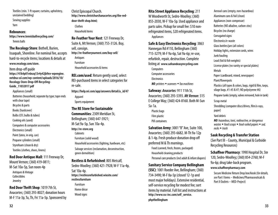Textiles (min. 1-ft square; curtains, upholstery, unstained bedding) Sewing supplies

Yarn

#### **Rebounces**:

**https://www.tennisballrecycling.com/** Tennis balls

#### **The Recology Store**: Bothell, Burien,

Issaquah, Shoreline. For nominal fee, accepts hard-to-recycle items; locations & details at **www.recology.com/store**.

#### Item drop-off guide

**https://41k4p01v6nzq13r4y42jb9xv-wpengine. netdna-ssl.com/wp-content/uploads/2016/10/ Recology-Store-Drop-Off-Recycling-Guide\_11032017.pdf**

Appliances (small)

Batteries (household; separate by type; tape ends with clear tape)

Bicycles & parts

Books (hardcover)

Bulbs (CFL bulbs & tubes)

Cooking oils (used)

Computers & computer accessories

Electronics (small)

Paint (latex, in orig. can)

Propane cylinders (small)

Styrofoam (clean & dry)

Textiles (clothes, shoes, linens)

**Red Door Antique Mall: 111 Freeway Dr,** Mount Vernon; (360) 419-0811; M-Sat 10a-5p, Sun noon-4p Antiques & Vintage Collectibles Jewelry

**Red Door Thrift Shop**: 1019 7th St, Anacortes; (360) 293-8027; donation hours M-F 11a-3p, Tu, Th, Fri 11a-5p. Sponsored by Christ Episcopal Church. **http://www.christchurchanacortes.org/the-reddoor-thrift-shop.html;**

**Clothes** Household items

**Re-Feather Your Nest**: 121 Freeway Dr, Suite A, Mt Vernon; (360) 755-3126. Buy, sell, consign. **http://re-featheryournest.com/buy-sell/** Antiques

Furniture

Household accessories & items

**REI.com/used**: Return gently used, select REI-purchased items in select categories for re-sale.

**https://help.rei.com/app/answers/detail/a\_id/47** Apparel Sports equipment

**The RE Store for Sustainable Communities: 2309 Meridian St.** Bellingham; (360) 647-5921; M-Sat 9a-5p, Sun 10a-4p.

**http://re-store.org Cabinets** 

Furniture (solid wood)

Household accessories (lighting, hardware, etc) Salvage services (reclamation, deconstruction, green demolition)

#### **Restless & Refurbished**: 805 Metcalf,

Sedro-Woolley; (360) 421-7928; W-F 11a-4p, Sat 10a-4p. **https://restlessrefurbished.wixsite.com/ restlessfurniture**

Furniture Home décor Wood sians

**Rita Street Appliance Recycling**: 211

W Woodworth St, Sedro-Woolley; (360) 855-2030, W-F 10a-5p. Used appliance and parts sales. Pickup for small fee: \$10 nonrefrigerated items, \$20 refrigerated items. Appliances

#### **Safe & Easy Electronics Recycling**: 3863

Hannegan Rd #110, Bellingham (360) 715-3279; M-F 9a-6p, Sat 9a-6p; re-use, refurbish, repair, destruction. Complete listing at **www.safeandeasyrecycling.com**

**Computers** 

Computer accessories

**Electronics** 

*NO: printers* ◆ *scanners* ◆ *fax machines* 

#### **Safeway**: *Anacortes:* 911 11th St,

Anacortes; (360) 293-5393. *Mt Vernon:* 315 E College Way; (360) 424-8160. Both M-Sun 5a-1a.

Plastic bags

Film plastic

Pill containers

**Salvation Army**: 3001 "R" Ave, Suite 100, Anacortes; (360) 293-6682. M-Th 9a-12p & 1-4p. Fresh produce donation drop off preferred M & Th mornings.

Food (canned, fresh, frozen, packaged) Household cleaning products

Personal care products (incl adult & infant diapers)

#### **Sanitary Service Company Bellingham**

**(SSC)**: 1001 Roeder Ave, Bellingham; (360) 734-3490; M-F 8a-5p (closed 12-1p and most major holidays). Extensive residential, self-service recycling for modest fee; sort items by material. Full list and instructions at **http://www.ssc-inc.com/self\_service. php#bellingham**

Aerosol cans (empty, non-hazardous) Aluminum cans & foil (clean) Appliances (non-compessor) Batteries (NO alkaline, carbon-zinc) Bicycles (no charge) Corrugated signs Electronics/e-waste Glass bottles/jars (all colors) Holiday lights, extension cords, wires Junk hauling Lead (foil & fish weights) License plates (no vanity or special plates) Metals Paper (cardboard, mixed, newspaper) Plant/flowerpots Plastics (all types & colors, bags, rigid & film, tarps, silage bags, #1-#5 & #7; NO polystyrene #6)

Propane tanks (empty, valves removed, hole in tank)

Scrap metal

Shredding (computer discs/drives, film/x-rays, paper)

Yard debris

*NO: hazardous, toxic, radioactive, or dangerous wastes* w *food scraps* w *food-soiled papers* w *sod, rocks* ◆ *trash* 

#### **Sauk Recycling & Transfer Station**

(*See* Part III *–* County, Municipal & Curbside Recycling Resources)

**Schaffner Pharmacy**:1990 Hospital Dr, Ste 120, Sedro-Woolley**;** (360)854-2760; M-F 9a-6p; drug take-back program.

#### **www.schaffnerpharmacy.com**

Secure Medicine Return Drop box/kiosk (*for details, see* Part I Items – Medicines/Pharmaceuticals & Part II Outlets – MED-Project)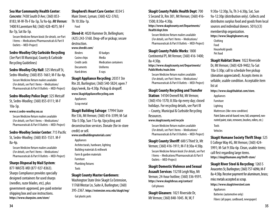*Concrete:* 7438 South D Ave; (360) 853- 8183; M-W-Th-F 8a-5p, Tu 9a-6p. *Mt Vernon:* 1400 N Laventure Rd; (360) 428-4075; M-F 8a-7p, Sat 8a-5p.

Secure Medicine Return kiosk (*for details, see* Part I Items – Medications/Pharmaceuticals & Part II Outlets – MED-Project)

#### **Sedro-Woolley City Curbside Recycling**

(*See* Part III Municipal, County & Curbside Recycling Guidelines)

#### **Sedro-Woolley City Hall: 325 Metcalf St,**

Sedro-Woolley; (360) 855-1661; M-F 8a-4p. Secure Medicine Return mailers available (*For details, see* Part I Items – Medications/ Pharmaceuticals & Part II Outlets – MED-Project)

#### **Sedro-Woolley Police Dept**: 325 Metcalf

St, Sedro-Woolley; (360) 855-0111; M-F 10a-5p.

#### **www.ci.sedro-woolley.wa.us**

Secure Medicine Return mailers available (*For details, see* Part I Items – Medications/ Pharmaceuticals & Part II Outlets – MED-Project)

#### **Sedro-Woolley Senior Center**: 715 Pacific

St, Sedro-Woolley; (360) 855-1531. M-F 8a-4p.

Secure Medicine Return mailers available (*For details, see* Part I Items – Medications/ Pharmaceuticals & Part II Outlets – MED-Project)

#### **Sharps Disposal by Mail System**:

877-WASTE-MD (877-927-8363). Sharps Compliance provides specially designed containers for used sharps (needles, razor blades, etc), plus government-approved, pre-paid exterior shipping box and use instructions. **https://www.sharpsinc.com/store/**

### **Shepherd's Heart Care Center**: 8334 S

Main Street, Lyman; (360) 422-3765; Th 10:30a-1p.

Food

**Shred-it**: 4020 Hammer Dr, Bellingham; (425) 243-5160. Drop-off or pickup; secure destruction.

#### **www.shredit.com/**

| <b>Binders</b>   | <b>ID</b> badges             |
|------------------|------------------------------|
| Casino chips     | Media                        |
| Credit cards     | <b>Medication containers</b> |
| <b>Documents</b> | Uniforms                     |
| Hard drives      | X-rays                       |
|                  |                              |

#### **Skagit Appliance Recycling**: 20351 Ste

Rte 20, Burlington; (360) 540-5824; open 7 days/week, 8a-4:30p. Pickup & dropoff.

**www.SkagitApplianceRecycling.com** Appliances Scrap metal

**Skagit Building Salvage**: 17994 State Rte 536, Mt Vernon; (360) 416-3399; M-Sat 10a-5:30p, Sun 11a-4p. Upcycling and deconstruction services. Donate (for in-store credit) or sell.

### **www.usedbuildingmaterials.com/**

Appliances Architecturals, hardware, lighting Building materials & millwork Farm & garden materials Furniture Plumbing fixtures Tools

#### **Skagit County Master Gardeners**:

Washington State Univ Skagit Co Extension, 11768 Westar Ln, Suite A, Burlington; (360) 395-2367. **https://extension.wsu.edu/skagit/mg/** Gal plastic pots

#### **Skagit County Public Health Dept**: 700

S Second St, Rm 301, Mt Vernon; (360) 416- 1500; 8:30a-4:30p. **https://www.skagitcounty.net/Departments/ Health/dept.htm**

Secure Medicine Return mailers available (*For details, see* Part I Items – Medications/ Pharmaceuticals & Part II Outlets – MED-Project)

#### **Skagit County Public Works**: 1800

Continental Pl, Mt Vernon; (360) 416-1400; 8a-4:30p.

**https://www.skagitcounty.net/Departments/ PublicWorks/main.htm**

Secure Medicine Return mailers available (*For details, see* Part I Items – Medications/ Pharmaceuticals & Part II Outlets – MED-Project)

#### **Skagit County Recycling and Transfer**

**Station**: 14104 Ovenell Rd, Mt Vernon; (360) 416-1570; 8:30a-6p every day; closed holidays. For recycling details, see Part III – County, Municipal & Curbside Recycling Resources.

#### **www.skagitcounty.net/recycle**

Secure Medicine Return mailers available (*For details, see* Part I Items – Medications/ Pharmaceuticals & Part II Outlets – MED-Project)

#### **Skagit County Sheriff**: 600 S Third St, Mt Vernon; (360) 416-1911; M-F 8:30a-4:30p. Secure Medicine Return kiosk (*For details, see* Part

I Items – Medications/Pharmaceuticals & Part II Outlets – MED-Project)

**Skagit Domestic Violence and Sexual Assault Services**: 1521B Leigh Way, Mt Vernon; 24-hour hotline; (360) 336-9591. **https://www.skagitdvsas.org/contact/**  Cell phones

**Skagit Gleaners**: 1021 Riverside Dr, Mt Vernon; (360) 848-1045. M, W, F

9:30a-12:30p, Tu, Th 3-6:30p, Sat, Sun 9a-12:30p (distribution only). Collects and distributes surplus food and goods from local sources and individual donors. 501(c)(3) membership organization. **https://www.Skagitgleaners.org** Clothing

Food Household goods Pet food

**Skagit Habitat Store**: 1022 Riverside Dr, Mt Vernon; (360) 428-9402; Tu-Sat 10a-5:30p; call to schedule free pickup (donation appreciated). Accepts items in sellable, usable condition. Acceptable item list at

**https://www.skagithabitat.com/store.**

**Appliances** 

Furniture

Lighting

Mattresses (like-new condition)

Paint (latex and oil-based: new, full, unopened, nonrusted paint, stain, removers, brushes, rollers, etc.)

Tools

Vehicles

#### **Skagit Humane Society Thrift Shop**: 525

E College Way #G, Mt Vernon; (360) 424- 5991; M-Sat 9:30a-6p. Clean, usable items; call first regarding large items. **https://skagithumane.org/thrift-store/**

#### **Skagit River Steel & Recycling**: 1265 S Anacortes St, Burlington; (360) 757-6096; M-F 8a-4:30p. Receive payment for aluminum, brass; misc metals accepted as scrap. **https://www.skagitriversteel.com** Appliances Batteries (automotive only) Fibers (all paper, cardboard, newspaper)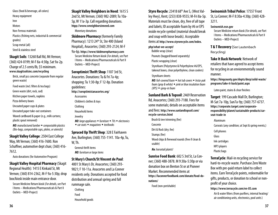Glass (food & beverage, all colors) Heavy equipment Iron **Motors** Non-Ferrous materials Plastics (fishing nets, industrial & commercial grades) Scrap metal (all)

Steel & stainless steel

#### **Skagit Soils**: 13260 Ball Rd, Mt Vernon;

(360) 424-0199; M-F 8a-4:30p, Sat 9a-2p. Charge of 2.5 cents/lb, \$5 minimum. **www.skagitsoilsinc.com/recycling**

Brick, small pcs concrete (separate from regular green waste)

Food waste (incl. filters & tea bags)

Green waste (dirt, rock, sod)

Kitchen paper towels, napkins

Pizza delivery boxes

Uncoated paper cups & plates

Uncoated paper take-out containers

Waxed cardboard & paper (e.g., milk cartons; plastic spout removed)

*NO: manufactured lumber* w *compostable plastics (Bio-bags, compostable cups, plates, or utensils)*

#### **Skagit Valley College**: 2504 East College Way, Mt Vernon; (360) 416-7600. Ron Schaffner, automotive dept chair, (360) 416- 7612.

Auto donations (for Automotive Program)

**Skagit Valley Hospital Pharmacy** (Skagit Regional Health): 1415 E Kinkaid St, Mt Vernon; (360) 814-2362, M-F 9a-5:30p; drop box/kiosk inside main entrance door.

Secure Medicine Return kiosk (*For details, see* Part I Items – Medications/Pharmaceuticals & Part II Outlets – MED-Project)

#### **Skagit Valley Neighbors in Need**: 1615 S

2nd St, Mt Vernon; (360) 982-2089; Tu 10a-5p, W 11a-3p. Call regarding donations. **htpp://www.svneighborsinneed.com** Monetary donations

**Skidmore Pharmacy (formerly Family** Pharmacy): 1213 24<sup>th</sup> St, Ste 400 (Island Hospital), Anacortes; (360) 293-2124; M-F 9a-6p. **https://www/skidmorepharmacy.com** Secure Medicine Return kiosk (*For details, see* Part I Items – Medications/Pharmaceuticals & Part II Outlets – MED-Project)

#### **Soroptimist Thrift Shop**: 1107 3rd St,

Anacortes. Donations: Tu & Fri 7a-4p; shopping: Tu 1:30-8p; F 12-8p. Donation guidelines: **http://soroptimistanacortes.org/**  Accessories Children's clothes & toys Clothing Household items Jewelry *NO: large appliances* ◆ *furniture* ◆ *TVs* ◆ *electronics* ◆ *car seats* ◆ *magazines* ◆ *textbooks* 

**Spruced Up Thrift Shop: 328 E Fairhaven** Ave, Burlington; (360) 755-1141. 10a-4p, Tu, W, Th.

General thrift items *NO: furniture or large items*

#### **St Mary's Church/St Vincent de Paul**:

4001 St Mary's Dr, Anacortes; (360) 293- 9821; F 10-11a. Anacortes and La Conner residents only. Donations accepted for food distribution and annual spring and fall rummage sale.

Clothing Food Household goods **Styro Recycle:** 23418 68<sup>th</sup> Ave S, (West Valley Hwy), Kent; (253) 838-9555; M-Fri 8a-5p. Materials must be clean, dry, free of all tape and labels; ID acceptable foam by #6 or EPS inside recycle symbol (material should break and snap with loose beads). Acceptable items at **http://www.styrorecycle.com/index.**

#### **php/what-we-accept/**

Bubble wrap (clear)

Peanuts (bagged/boxed separately)

Plastic wrapping (clear)

Styrofoam (Polystyrene & Polyethylene #6/EPS, takeout boxes, clear polyethylene, clean coolers)

#### Styrofoam sheets

*NO: foil-covered foam* w *hot tub covers* w *Insta-pak foam (gray & white)* w *pink or blue insulation foam (XPS)* w *spray-in foam*

#### **Sunland Bark & Topsoil**: 2469 Reservation Rd, Anacortes; (360) 293-7188. Fees for some materials; details on acceptable items and fees: **http://www.sunlandtopsoil.com/ recycle-services.html**

Brush & tree trimming (fee)

Concrete

Dirt & Rock (dry; fee)

Stumps (fee)

Wood chips & firewood rounds (free if clean & usable)

*No*: *horsetail plants!*

**Sunrise Food Bank**:602 S 3rd St, La Conner; (360) 488-3878. M 9:30a-5:30p or via donation box on Benton St or at Pioneer Market. Recommended items at **https://laconnerfoodbank.com/donate/food-donations/**

Food (non-perishable)

#### **Swinomish Tribal Police**: 17557 Front St, La Conner; M-F 8:30a-4:30p; (360) 428- 3211.

#### **Swinomish.nsn.gov**

Secure Medicine return kiosk (*For details, see* Part I Items – Medications/Pharmaceuticals & Part II Outlets – MED-Project)

**T & T Recovery** (*See* Lautenbach Recycling)

#### **Take It Back Network**: Network of

retailers that have agreed to accept items for recycling in an enviornmentally sound manner.

**https://kingcounty.gov/depts/dnrp/solid-waste/ programs/take-it-back/paint.aspx**

Latex paint, stains & clear finishes

**Target**:199 Cascade Mall Dr, Burlington; M-Sat 7a-10p, Sun7a-9p; (360) 757-6737. **https://corporate.target.com/corporateresponsibility/planet/sustainable-products/carseat-trade-in**

Aluminum

Carseats (any condition; at Sept & spring events;)

Cell phones

Glass

Ink cartridges

MP3 players

Plastic bags

**TerraCycle**: Mail-in recycling service for hard-to-recycle waste. Purchase Zero Waste Box with pre-paid return label to collect items. Earn TerraCycle points, redeemable for gifts, products, or donation to school or nonprofit of your choice.

**https://www.terracycle.com/en-US.com** Air & water filters (from purifiers, internal heating/ air conditioning units, electronics, pool units)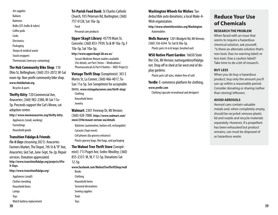Art supplies Ballasts **Batteries** Bulbs (CFL bulbs & tubes) Coffee pods Corks **Electronics** Packaging Sharps & medical waste Snack wrappers Thermostats (mercury-containing)

#### **The Hub Community Bike Shop**: 110

Ohio St, Bellingham; (360) 255-2072; W-Sat noon-6p. Non-profit community bike shop. **www.thebikehub.org**.

Bicycles & parts

**Thrifty Kitty**: 720 Commercial Ave, Anacortes; (360) 982-2380; M-Sat 11a-5p. Proceeds support the Cat's Meow, cat adoption center.

**http:// www.meowanacortes.org/thrifty-kitty**.

- Appliances (small, working)
- Furnishings
- Household goods

#### **Transition Fidalgo & Friends**:

*Fix-It Days (resuming 2021):* Anacortes Farmers Market, The Depot, 7th St & "R" Ave, Anacortes; last Sat, June-Sept, 9a-2p. Repair services. Donation appreciated. **http://www.transitionfidalgo.org/projects/#Fix-It-Days.**

**http://www.transitionfidalgo.org/**

Appliances (small) Clothes mending Household Items Watch battery replacement

**Tri-Parish Food Bank: St Charles Catholic** Church, 935 Peterson Rd, Burlington; (360) 757-0128; Sat 10a-3p. Food

Personal care products

**Upper Skagit Library**: 45770 Main St, Concrete; (360) 853-7939; Tu & W 10a-7p, F 10a-5p, Sat 10a-3p;

**http://www.upperskagit.lib.wa.us/** Secure Medicine Return mailers available (*For details, see* Part I Items – Medications/ Pharmaceuticals & Part II Outlets – MED-Project)*)*

**Vintage Thrift Shop** (Soroptimist): 301 E Morris St, La Conner, (360) 466-4017; Tu-Sun 11a-5p. See Soroptimist for acceptable items. **www.vintagelaconner.com/thrift-shop/** Clothing Household items

Jewelry

Toys

**Walmart**: 2301 Freeway Dr, Mt Vernon; (360) 428-7000. **https://www.walmart.com/ store/2596/mount-vernon-wa/details** 

Batteries (automotive, button cell, rechargable) Carseats (Sept event)

Cell phones (by grocery entrance) Plastic grocery bags, film bags, and packaging

**The Walnut Tree Thrift Store** (Soroptimist): 713 Puget Ave, Sedro-Woolley; (360) 855-2337; M, W, F 12-5p. Donations Sat 12-5p. **www.facebook.com/WalnutTreeThriftShop/wall** Books Clothing Household items Seasonal decorations Sewing supplies Tools

**Washington Wheels for Wishes**: Taxdeductible auto donations; a local Make-A-

Wish organization.

**http://www.wheelsforwishes.org/Washington** Automobiles

**Wells Nursery**:1201 Blodgett Rd, Mt Vernon; (360) 336-6544. Tu-Sat 8:30a-5p. Plastic pots (4-in & larger, brushed out)

**WSU Native Plant Garden: 16650 State** Rte 536, Mt Vernon; nativegarden@fidalgo. net. Drop off in shed at far west end of display gardens.

Plastic pots (all sizes, shaken free of soil)

**Yerdle**: E-commerce platform for clothing; **www.yerdle.com**

Clothing (upscale recreational and designer)

### **Reduce Your Use of Chemicals**

#### **RESEARCH THE PROBLEM**

When faced with an issue that seems to require a hazardous chemical solution, ask yourself, "Is there an alternate solution that's non-toxic (has no warning label) or less toxic (has a caution label)? Take time to do a bit of research.

#### **BUY LESS**

When you do buy a hazardous product, buy only the amount you'll use up within a reasonable period. Consider donating or sharing (rather than storing) leftovers.

#### **AVOID AEROSOLS**

Aerosol cans contain valuable metals and, when completely empty, should be recycled: remove plastic lid and nozzle and recycle materials separately. However, if a propellant has been exhausted but product remains, can must be disposed of as hazardous waste.

Lamps Toys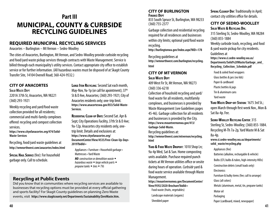### **Part III MUNICIPAL, COUNTY & CURBSIDE RECYCLING GUIDELINES**

#### **REQUIRED MUNICIPAL RECYCLING SERVICES**

Anacortes – Burlington – Mt Vernon – Sedro-Woolley

The cities of Anacortes, Burlington, Mt Vernon, and Sedro-Woolley provide curbside recycling and food/yard waste pickup services through contracts with Waste Management. Service is billed through each municipality's utility services. Contact appropriate city office to establish service or for further information. (All hazardous wastes must be disposed of at Skagit County Transfer Site, 14104 Ovenell Road; 360-424-9532.)

#### **CITY OF ANACORTES**

**Solid Waste Dept** 2201A 37th St, Anacortes,WA 98221 (360) 293-1921

Weekly recycling and yard/food waste collection provided for all residents; commercial and multi-family complexes offered recycling and compost collection services.

**https://www.cityofanacortes.org/474/Solid-Waste-Services**

Recycling, food/yard waste guidelines at **http://wmnorthwest.com/anacortes/index.html**

**Special Haul Service** (fee): For household garbage only. Call to schedule.

**LARGE ITEM RECYCLING: Second Sat each month,** May-Nov, 9a-1p (or call for apointment); 37<sup>th</sup> St & D Ave, Anacortes; (360) 293-1921; City of Anacortes residents only; one-trip limit. **https://www.anacorteswa.gov/853/Solid-Waste-Services**.

**ResidentialClean-up Days:** Second Sat. Apr & Sept; City Operations Facility, 37th St & D Ave; 9a-12p. Anacortes city residents only, onetrip limit. Details and exclusions at: **https://www.cityofanacortes.org/ DocumentCenter/View/4535/Free-Clean-Up-Days-2019?bidId=**

Appliances • Furniture • Household garbage • Mattresses • Yard Waste

**NO***:* construction or demolition waste ◆ *hazardous waste*  $\bullet$  *large vehicle parts*  $\bullet$ *propane tanks* w *tires* w *TVs*

### **Recycling at Public Events**

Did you know that in communities where recycling services are available to businesses that recycling options must be provided at every official gathering and sports facility? For Skagit County guidelines on planning Zero Waste events, visit **https://www.skagitcounty.net/Departments/Sustainability/ZeroWaste.htm.**

#### **CITY OF BURLINGTON Finance Dept**

833 South Spruce St, Burlington, WA 98233 (360) 755-2377

Garbage collection and residential recycling required for all residences and businesses within city limits; optional yard/food waste recycling.

**http://burlingtonwa.gov/Index.aspx?NID=178**

Recycling guidelines at **http://wmnorthwest.com/burlington/recycling. html**

#### **CITY OF MT VERNON Solid Waste Dept**

409 West Fir St, Mt Vernon,WA 98273 (360) 336-6218

Collection of houshold recycling and yard/ food waste for all residents, multifamily complexes, and businesses is provided by Waste Management (see Guidelines pages 45-46). Garbage collection for all residents and businesses is provided by the City. **https://www.mountvernonwa.gov/413/ Garbage-Solid-Waste.**

Recycling guidelines at:

**http://wmnorthwest.com/mtvernon/recycling. html**

YARD & FOOD WASTE DROPOFF: 1010 Shop Ln; 9a-4p Wed, Sat & Sun. Home composting units available. Purchase required punch tickets at Mt Vernon utilities office or onsite during hours of operation. *Curbside* yard & food waste service available through Waste Management.

**https://mountvernonwa.gov/DocumentCenter/ View/9592/2020-Brochure?bidId=**

Food waste (fruits, vegetables) Landscape materials (organic) Shredded paper

**Spring Cleanup Day**: Traditionally in April; contact city utilities office for details.

#### **CITY OF SEDRO-WOOLLEY Solid Waste & Recycling Div.**

315 Sterling St, Sedro-Woolley, WA 98284 (360) 855-1884 Weekly curbside trash, recycling, and food & yard waste pickup for city residents. Guidelines at **https://www.ci.sedro-woolley.wa.us/ Departments/Solid%20Waste/Garbage\_and\_ Recycling\_Collection\_Schedule.pdf** 

Food & soiled food wrappers Glass bottles & jars (no lids) Paper & cardboard Plastic bottles & jugs Tin & aluminum cans Yard waste

**Yard Waste Drop-off Station**: 1675 3rd St.; open March through first week Nov., Mon & Sat 8a-4p. Fee.

**Sedro-Woolley Recycling Center**: 315 Sterling St, Sedro-Woolley; (360) 855-1884. Recycling M-Th 7a-2p, Yard Waste M & Sat 8a-4p.

**www.ci.sedro-woolley.wa.us/departments/ solid\_waste/recycling.php**

Appliances (fee)

Batteries(alkaline, rechargable & vehicle)

Bulbs (CFL bulbs & tubes, high-intensity HIDs)

Construction debris (small loads only) **Electronics** 

Furniture & bulky items (fee; call to arrange) Glass (all colors)

Metals (aluminum, metal, tin, propane tanks)

Motor oil

Packaging

Paper (cardboard, mixed, newspaper)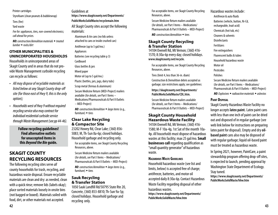Styrofoam (clean peanuts & bubblewrap) Tires (fee)

Printer cartridges

Yard waste

*Fee for: appliances, tires, non-covered electronics; call ahead for prices.*

*NO: construction/demolition materials* ◆ *treated lumber* ◆ *rocks/dirt* 

#### **OTHER MUNICIPALITIES & UNINCORPORATED HOUSEHOLDS**

Households in unincorporated areas of Skagit County and in areas that do not provide Waste Management curbside recycling can recycle as follows:

- *• All may dispose of recyclable materials as listed below at any Skagit County drop-off site (for those east of Hwy 9, this is the only option);*
- *• Households west of Hwy 9 without required recycling service also may contract for individual residential curbside service through Waste Management (see pp 44-46).*

**Follow recycling guidelines! Find alternative outlets for unaccepted items in this** *Beyond the Bin* **guide.**

### **SKAGIT COUNTY RECYCLING RESOURCES**

The following recycling sites serve *all* county households for trash, recycling, and hazardous waste disposal. Ensure recyclable materials are clean and dry: as needed, clean with a quick rinse; remove lids (labels okay); place sorted materials loosely in onsite bins (not bagged or boxed). Materials soiled with food, dirt, or other materials not accepted.

Guidelines at **https://www.skagitcounty.net/Departments/ PublicWorksSolidWaste/recyclemain.htm** All Skagit County sites accept the following materials: Aluminum & tin cans (no lids unless attached to cans or inside crushed can) Antifreeze (up to 5 gal/mo.) Appliances Batteries (see recycling table p 3) **Cardboard** Glass bottles & jars Mixed paper Motor oil (up to 5 gal/mo.) Plastic (bottles, jars, jugs, dairy tubs) Scrap metal (ferrous & aluminum) Secure Medicine Return (MED-Project) mailers available (*for details, see* Part I Items – Medications/Pharmaceuticals & Part II Outlets – MED-Project)

*NO: construction/demolition* w *large items* (e.g., furniture)  $\bullet$  tires

#### **Clear Lake Recycling & Compactor Site**

23202 Howey Rd, Clear Lake; (360) 856- 5083; M, Th-Sun 8a-6p; closed holidays. Household garbage and recycling only. For acceptable items, see Skagit County Recycling Resources, above.

Secure Medicine Return mailers available (*for details, see* Part I Items – Medications/ Pharmaceuticals & Part II Outlets – MED-Project)

*NO: construction/demolition* w *large items* (e.g., furniture)  $\triangle$  tires

#### **Sauk Recycling & Transfer Station**

1050 Sauk Landfill Rd/50795 State Rte 20, Concrete, (360) 853-8810; Th-Sun 9a-5p; closed holidays. Household garbage and recycling only.

For acceptable items, see Skagit County Recycling Resources, above.

Secure Medicine Return mailers available (*for details, see* Part I Items – Medications/ Pharmaceuticals & Part II Outlets – MED-Project) *NO: construction/demolition* w tires

**Skagit County Recycling & Transfer Station**

14104 Ovenell Rd, Mt Vernon; (360) 416- 1570; 8:30a-6p every day; closed holidays. **www.skagitcounty.net/recycle.** 

For acceptable items, see Skagit County Recycling Resources, above.

Tires (limit 4, less than 36-in. diam)

Construction & Demolition debris accepted as garbage; size restrictions apply; see guidelines:

**https://skagitcounty.net/Departments/ PublicWorksSolidWaste/CDL.htm.**

Secure Medicine Return mailers available (*for details, see* Part I Items – Medications/ Pharmaceuticals & Part II Outlets – MED-Project)

### **Skagit County Household Hazardous Waste Facility**

14104 Ovenell Rd, Mt Vernon; (360) 416- 1580; M-F 10a-4p, 1st Sat of the month 10a-4p. *All households* must dispose of hazardous wastes at this facility; max 25 gal/mo. **Small businesses call regarding qualification as** "small quantity generator" of hazardous waste.

#### **Hazardous Waste Guidelines**

Household hazardous waste (see list and limits, below) is accepted free of charge; antifreeze, batteries, and motor oil accepted daily 8:30a-6p. Contact Hazardous Waste Facility regarding disposal of other hazardous wastes.

**https://www.skagitcounty.net/Departments/ PublicWorksSolidWaste/hhw.htm**

Antifreeze & auto fluids Batteries (vehicle, button, Ni-Cd, rechargeable, lead-acid) Chemicals (hot tub, etc) Cleaners & solvents **Disinfectants** Fertilizers Fire extinguishers Fluorescent bulbs & tubes Household hazardous waste Motor oil Pesticides Polishes Secure Medicine Return mailers available (*for details, see* Part I Items – Medications/ Pharmaceuticals & Part II Outlets – MED-Project) *NO:Explosives* w *radioactive materials* w *asbestos*

Hazardous wastes include:

#### **Paint Disposal**

Skagit County Hazardous Waste Facility no longer accepts **latex paint.** Latex paint cans with less than one inch of paint can be dried out and disposed of in regular garbage (see web link below for instructions on preparing latex paint for disposal). Empty and dry **oilbased paint** cans also may be disposed of with regular garbage; liquid oil-based paint must be treated as hazardous waste.

In Spring 2021, however, PaintCare, a paint stewardship program offering drop-off sites, is expected to launch, pending approval by Washington State Department of Ecology. Stay tuned.

**https://www.skagitcounty.net/Departments/ PublicWorksSolidWaste/hhw.htm**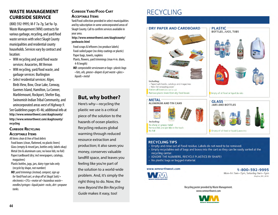### **WASTE MANAGEMENT CURBSIDE SERVICE**

(800) 592-9995; M-F 7a-7p, Sat 9a-1p. Waste Management (WM) contracts for various garbage, recycling, and yard/food waste services with select Skagit County municipalities and residential county households. Services vary by contract and location:

- WM recycling and yard/food waste services: Anacortes, Mt Vernon
- WM recycling, yard/food waste, and garbage services: Burlington

• *Select* residential services: Alger, Birds View, Bow, Clear Lake, Conway, Guemes Island, Hamilton, La Conner, Marblemount, Rockport, Shelter Bay, Swinomish Indian Tribal Community, and unincorporated areas *west of Highway 9*. See Guidelines pages 45-46; additional info at **http://www.wmnorthwest.com/skagitcounty/ http://www.wmnorthwest.com/skagitcounty/ recycling**

### **CURBSIDE RECYCLING**

#### **Acceptable Items**

*All items clean & free of food debris* Food boxes (clean, flattened, no plastic liners) Glass (empty & rinsed jars, bottles only; labels okay) Metal (tin & aluminum cans; no loose lids; no foil) Paper/cardboard (dry; incl newspapers, catalogs, magazines)

Plastic bottles, jugs, jars, dairy-type tubs only (recycle by shape, not number)

*NO: yard trimmings (instead, compost, sign up for Yard/Food cart, or drop off at Skagit Soils) • electronics • CFLs • motor oil • hazardous waste • needles/syringes • liquid paint • rocks, dirt • propane tanks.*

#### **Curbside Yard/Food Cart Acceptable Items**

Yard/Food collection provided in select municipalities and by subscription in some unincorporated areas of Skagit County. Call to confirm services available in your area.

**http://www.wmnorthwest.com/skagitcounty/ yardwaste.html**

Food scraps & leftovers (no produce labels) Food-soiled paper (no shiny coatings or plastic) Paper bags, towels, napkins Plants, flowers, yard trimmings (max 4-in. diam,

4-ft length)

**NO**: compostable serviceware or bags • plastic bags **such as medical was medical was medical was medical was medical wastes. The service of the service was medical was medical was medical was medical was medical was medic** • fats, oils, grease • diapers & pet waste • glass • *per chemical handling and chemical***s require special handling and are not chemical handling and are not chemical handling and are not chemical handling and are not che** *liquids • metal* allowed in growing in growing in growing in the control of the same second in the same second in the same second in the same second in the same second in the same second in the same second in the same second in the same se

### **But, why bother? Contains the formation of the state of the stage of the stage of the stage of the stage of the stage of the stage of the stage of the stage of the stage of the stage of the stage of the stage of the sta**

**Electronics** Here's why—recycling the Recycle electronics, computers, monitors and TVs. Visit **http://www.ecyclewashington.org** plastic we use is a critical **recepts** piece of the solution to the Recycling reduces global warming through reduced **warming** hazards of ocean plastics. **WM Mobile App** feeling like you're part of the solution to a world-wide problem. And, it's simply the **your garbage service.**  landfill space, and leaves you resource extraction and production; it also saves you money, conserves valuable right thing to do. Now, the new *Beyond the Bin Recycling Guide* makes it easy, too!

### **RECYCLING**



- · IGNORE THE NUMBERS, RECYCLE PLASTICS BY SHAPE!
- No plastic bags or bagged material.

#### ww.wmnorthwest.com



**Billing Information**

1-800-592-9995 can become a new ceremony KingSno\_REC\_2019

Recycling poster provided by Waste Management. www.wmnorthwest.com

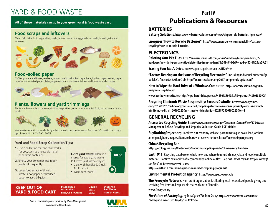### YARD & FOOD WASTF

All of these materials can go in your green yard & food waste cart

### **Food scraps and leftovers**

Meat, fish, dairy, fruit, vegetables, shells, bones, pasta, rice, eggshells, nutshells, bread, grains and leftovers.



#### Some items such as medical wastes, fluorescent bulbs and tubes, needles, ou-solied paper and chemicals require special handling and are not special handling and are not special handli

**1-800-592-9995** le grounds and filters, tea bags, waxed cardboard, soiled paper bags, kitchen paper towels, paper where  $\mathbf{r}$ 



### ants, flowers and yard trimming

s and flowers, landscape vegetation, vegetative garden waste, windfall fruit, jack-o-lanterns and



ase call 1-800-592-9995. waste collection is available by subscription in designated areas.

#### **Yard and Food Scrap Collection Tips:**

- **The Commission in the Washington in the Washington Commission Commission Commission Commission Commission Commission Commission Commission Commission Commission Commission Commission Commission Commission Commission Commi Extra yard waste:** There is a uncertainer.
- **2.** Empty your container into food/ yard cart frequently.
- **yer food scraps with** waste, newspaper or shredded aper to absorb liquid

charge for extra yard waste. Put extra yard waste only in: • Cans with handles (32 gal.,

- 
- **Billing Information** • Label cans "Yard" **www.www.wm.com/myaccount**

**KEEP OUT OF YARD & FOOD CART**  **Plastic bags Liquids** & containers Glass **Fats, Oil or Grease** Metal

for paperless billing at no cost. Watch for more information when you receive your

> **Diapers & Pet Waste Garden Hoses**

**EXECUTE IN THE SECOND WASTE MANAGEMENT** WAS TRIMING TO A LIMIT OF THE SECOND MANAGEMENT AND **47** Yard & Food Waste poster provided by Waste Management. www.wmnorthwest.com



**MM** 

can turn into new party of the contract of the contract of the contract of the contract of the contract of the contract of the contract of the contract of the contract of the contract of the contract of the contract of the ones in 60 days

**Today's news**

### **Part IV Publications & Resources**

#### **BATTERIES**

**Battery Solutions**: **https://www.batterysolutions.com/news/dispose-old-batteries-right-way/**

**Energizer "How to Recycle Batteries"**: **http://www.energizer.com/responsibility/batteryrecycling/how-to-recycle-batteries**

### **ELECTRONICS**

**Deleting Your PC's Files**: **http://answers.microsoft.com/en-us/windows/forum/windows\_7 hardware/how-do-i-permanently-delete-files-from-my-hard/6c509c04-b2d7-4edd-a447-47f24ab59c51**

**Erasing Your Mac's Drive**: https://support.apple.com/en-us/HT208496 **Missed collection Missing/damaged carts** 

**"Factors Bearing on the Issue of Recycling Electronics"** (including individual printer mfgr **Collection rates or service subscription** policies), Anacortes Aktion Club. http://anacortesaktion.org/2017-peripherals-update.pdf

How to Wipe the Hard Drive of a Windows Computer: http://anacortesaktion.org/2017**peripherals-update.pdf**

www.bestbuy.com/site/tech-tips/wipe-hard-drive/pcmcat748301880905.c?id=pcmcat748301880905

Recycling Electronic Waste Responsibly: Excuses Dwindle: https://www.nytimes. com/2015/01/01/technology/personaltech/recycling-electronic-waste-responsibly-excuses-dwindle. html?emc=edit\_sl\_20190225&nl=smarter-living&nlid=4021892820190225&te=1

### **GENERAL RECYCLING**

**Anacortes Recycling Guide**: **https://www.anacorteswa.gov/DocumentCenter/View/175/Waste-WHY Recycle? How to Recycle: Management-Refuse-Recycling-and-Organics-Collection-Guide-PDF?bidId=**

> **BuyNothingProject.org**: Localized gift economy website; post items to give away, lend, or share among neighbors; request items to borrow or receive for free. https://buynothingproject.org

#### **China's Recycling Ban**: cans and paper

**https://ecology.wa.gov/Waste-Toxics/Reducing-recycling-waste/China-s-recycling-ban**

Earth 911: Recycling database of what, how, and where to refurbish, upcycle, and recycle multiple materials. Confirm availability of recommended online outlets. See *"10 Things You Can Recycle Through the Mail"* at **https://earth911.com/**

**https://earth911.com/home-garden/mail-back-recycling-programs/**

**Environmental Protection Agency**: **https://www.epa.gov/recycle** No plastic bags

**The Freecycle Network**: Non-profit organization facilitating local networks of people giving and receiving free items to keep usable materials out of landfills. **www.freecycle.org**

*The Future of Packaging,* by TerraCycle CEO, Tom Szaky: **https://www.amazon.com/Future-Packaging-Linear-Circular/dp/1523095504**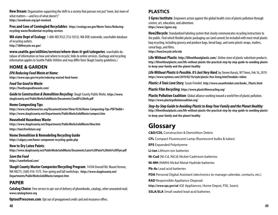**New Dream**: Organization supporting the shift to a society that pursues not just "more, but more of what matters—and less of what doesn't." **https://newdream.org/get-involved**.

**Pros and Cons of Comingled Recyclables**: **https://ecology.wa.gov/Waste-Toxics/Reducingrecycling-waste/Residential-recycling-services**

**WA state Dept of Ecology**: 1-800-RECYCLE (732-9253). WA DOE statewide, searchable database of recycling outlets. **http://1800recycle.wa.gov/**

**www.seattle.gov/utilities/services/where-does-it-go#/categories**: searchable database of information on how and where to recycle; links to online services. (Garbage and recycling information applies to Seattle Public Utilities and may differ from Skagit County guidelines.)

### **HOME & GARDEN**

*EPA Reducing Food Waste at Home:*

**https://www.epa.gov/recycle/reducing-wasted-food-home**

*Food Too Good to Waste:* **https://foodtoogoodtowaste.com/**

*Guide to Construction & Demolition Recycling*: Skagit County Public Works. **https://www. skagitcounty.net/PublicWorksSolidWaste/Documents/CandD%20info.pdf**

#### **Home Composting Tips**:

**https://www.cityofanacortes.org/DocumentCenter/View/4536/Home-Composting-Tips-PDF?bidId= https://www.skagitcounty.net/Departments/PublicWorksSolidWaste/compost.htm**

#### **Household Hazardous Waste**:

**https://www.skagitcounty.net/Departments/PublicWorksSolidWaste/hhw.htm https://toxicfreefuture.org/**

#### **Home Demolition & Remodeling Recycling Guide**

**https://calgary.com/home-component-recycling-guide.php**

**How to Dry Latex Paints**: **https://www.skagitcounty.net/PublicWorksSolidWaste/Documents/Latex%20Paint%20Info%20Flyer.pdf**

#### *Save the Food*

**https://savethefood.com/**

**Skagit County Master Composter/Recycling Program**: 14104 Ovenell Rd. Mount Vernon, WA 98273; (360) 416-1575. Free spring and fall workshops. **https://www.skagitcounty.net/ Departments/PublicWorksSolidWaste/compost.htm**

#### **PAPER**

**Catalog Choice**: Free service to opt-out of delivery of phonebooks, catalogs, other unwanted mail. **www.catalogchoice.org**

**OptoutPrescreen.com**: Opt out of preapproved credit card and insurance offers.

### **PLASTICS**

**5 Gyres Institute**: Empowers action against the global health crisis of plastic pollution through science, art, education, and adventure. **https://www.5gyres.org** 

How2Recycle: Standardized labeling system that clearly communicates recycling instructions to the public. Find which flexible plastic packaging can (and cannot) be included with most retail plastic bag recycling, including grocery and produce bags, bread bags, and some plastic wraps, mailers, cereal bags, and films. **https://how2recycle.info/sdo**

**Life Without Plastic**: **http://lifewithoutplastic.com/**. Online store of plastic substitute products. **http://lifewithoutplastic.com/life-without-plastic-the-practical-step-by-step-guide-to-avoiding-plasticto-keep-your-family-and-the-planet-healthy**

*Life Without Plastic Is Possible. It's Just Very Hard,* by Steven Kurutz, NY Times, Feb 16, 2019. **https://www.nytimes.com/2019/02/16/style/plastic-free-living.html?module=inline**

*Plastic: A Toxic Love Story,* Susan Freinkel. **http://www.susanfreinkel.com/books\_Plastic.html**

**Plastic Film Recycling**: **https://www.plasticfilmrecycling.org/**

**Plastic Pollution Coalition**: Global alliance working toward a world free of plastic pollution. **https://www.plasticpollutioncoalition.org/**

*Step-by-Step Guide to Avoiding Plastic to Keep Your Family and the Planet Healthy:* **http://lifewithoutplastic.com/life-without-plastic-the-practical-step-by-step-guide-to-avoiding-plasticto-keep-your-family-and-the-planet-healthy**

### **Glossary**

**C&D/CDL** Construction & Demolition Debris

**CFL** Compact Fluorescent Lamp (fluorescent bulbs & tubes)

**EPS** Expanded Polystyrene

**Li-ion** Lithium-ion batteries

**Ni-Cad** (Ni-Cd, NiCd) Nickel-Cadmium batteries

**Ni-MH** (NiMH) Nickel Metal-Hydride batteries

**Pb-Ac** Lead acid batteries

**PDA** Personal Digital Assistant (electronics to manage calendar, contacts, etc.)

**RAD** Responsible Appliance Disposal:

**https://www.epa.gov/rad** (GE Appliances, Home Depot, PSE, Sears)

**SSLA/SLA** Small sealed lead-acid batteries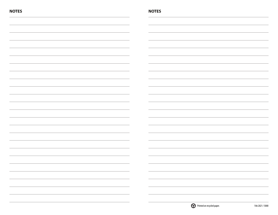| <b>NOTES</b>                                                                     | <b>NOTES</b>                                                                                                           |
|----------------------------------------------------------------------------------|------------------------------------------------------------------------------------------------------------------------|
|                                                                                  |                                                                                                                        |
|                                                                                  |                                                                                                                        |
|                                                                                  |                                                                                                                        |
|                                                                                  |                                                                                                                        |
|                                                                                  |                                                                                                                        |
|                                                                                  |                                                                                                                        |
|                                                                                  |                                                                                                                        |
|                                                                                  |                                                                                                                        |
|                                                                                  |                                                                                                                        |
|                                                                                  |                                                                                                                        |
|                                                                                  |                                                                                                                        |
|                                                                                  |                                                                                                                        |
|                                                                                  |                                                                                                                        |
|                                                                                  |                                                                                                                        |
|                                                                                  |                                                                                                                        |
|                                                                                  |                                                                                                                        |
|                                                                                  |                                                                                                                        |
|                                                                                  |                                                                                                                        |
|                                                                                  |                                                                                                                        |
|                                                                                  |                                                                                                                        |
| <u> 1989 - Johann Barnett, fransk politiker (d. 1989)</u>                        | the contract of the contract of the                                                                                    |
|                                                                                  | <u> 1989 - Johann John Stone, markin amerikan basal dan berkembang dan berkembang dan berkembang dan berkembang da</u> |
| ,我们也不会不会不会不会不会不会不会不会不会不会不会不会不会不会不会不会。""我们的是我们的,我们也不会不会不会不会不会不会不会不会不会不会。""我们的是我们的 |                                                                                                                        |
| $\sim$                                                                           |                                                                                                                        |

Feb 2021 / 5000

Printed on recycled paper.